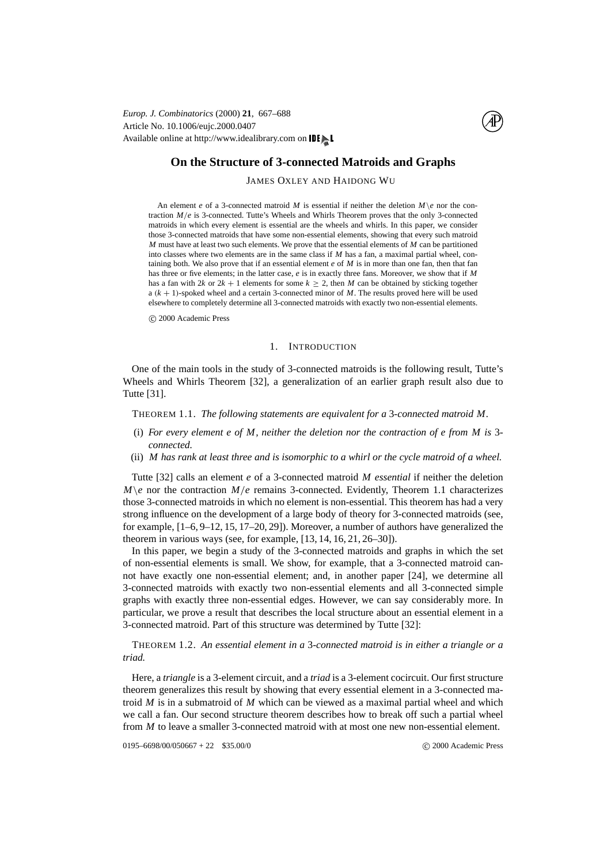Article No. 10.1006/eujc.2000.0407 Available online at http://www.idealibrary.com on IDI *Europ. J. Combinatorics* (2000) **21**, 667–688



# **On the Structure of 3-connected Matroids and Graphs**

# JAMES OXLEY AND HAIDONG WU

An element *e* of a 3-connected matroid *M* is essential if neither the deletion  $M\$ e nor the contraction *M*/*e* is 3-connected. Tutte's Wheels and Whirls Theorem proves that the only 3-connected matroids in which every element is essential are the wheels and whirls. In this paper, we consider those 3-connected matroids that have some non-essential elements, showing that every such matroid *M* must have at least two such elements. We prove that the essential elements of *M* can be partitioned into classes where two elements are in the same class if *M* has a fan, a maximal partial wheel, containing both. We also prove that if an essential element *e* of *M* is in more than one fan, then that fan has three or five elements; in the latter case, *e* is in exactly three fans. Moreover, we show that if *M* has a fan with 2*k* or  $2k + 1$  elements for some  $k \ge 2$ , then *M* can be obtained by sticking together a (*k* + 1)-spoked wheel and a certain 3-connected minor of *M*. The results proved here will be used elsewhere to completely determine all 3-connected matroids with exactly two non-essential elements.

c 2000 Academic Press

## 1. INTRODUCTION

<span id="page-0-2"></span>One of the main tools in the study of 3-connected matroids is the following result, Tutte's Wheels and Whirls Theorem [[32\]](#page-21-0), a generalization of an earlier graph result also due to Tutte [\[31](#page-21-1)].

<span id="page-0-0"></span>THEOREM 1.1. *The following statements are equivalent for a* 3*-connected matroid M.*

- (i) *For every element e of M, neither the deletion nor the contraction of e from M is* 3 *connected.*
- (ii) *M has rank at least three and is isomorphic to a whirl or the cycle matroid of a wheel.*

Tutte [\[32](#page-21-0)] calls an element *e* of a 3-connected matroid *M essential* if neither the deletion  $M \geq n$  nor the contraction  $M/e$  remains 3-connected. Evidently, Theorem [1.1](#page-0-0) characterizes those 3-connected matroids in which no element is non-essential. This theorem has had a very strong influence on the development of a large body of theory for 3-connected matroids (see, for example, [[1](#page-20-0)[–6](#page-21-2)[, 9](#page-21-3)[–12](#page-21-4)[, 15](#page-21-5)[, 17](#page-21-6)[–20](#page-21-7)[, 29\]](#page-21-8)). Moreover, a number of authors have generalized the theorem in various ways (see, for example, [[13](#page-21-9)[, 14](#page-21-7)[, 16](#page-21-10)[, 21](#page-21-11)[, 26](#page-21-12)[–30](#page-21-13)]).

In this paper, we begin a study of the 3-connected matroids and graphs in which the set of non-essential elements is small. We show, for example, that a 3-connected matroid cannot have exactly one non-essential element; and, in another paper [\[24](#page-21-14)], we determine all 3-connected matroids with exactly two non-essential elements and all 3-connected simple graphs with exactly three non-essential edges. However, we can say considerably more. In particular, we prove a result that describes the local structure about an essential element in a 3-connected matroid. Part of this structure was determined by Tutte [\[32](#page-21-0)]:

<span id="page-0-1"></span>THEOREM 1.2. *An essential element in a* 3*-connected matroid is in either a triangle or a triad.*

Here, a *triangle* is a 3-element circuit, and a *triad* is a 3-element cocircuit. Our first structure theorem generalizes this result by showing that every essential element in a 3-connected matroid *M* is in a submatroid of *M* which can be viewed as a maximal partial wheel and which we call a fan. Our second structure theorem describes how to break off such a partial wheel from *M* to leave a smaller 3-connected matroid with at most one new non-essential element.

0195–6698/00/050667 + 22 \$35.00/0 (2000 Academic Press)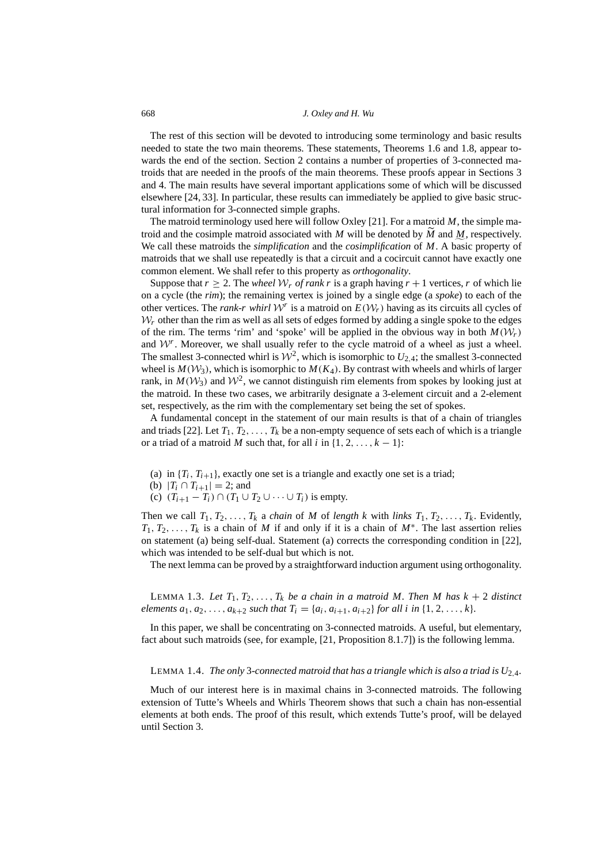The rest of this section will be devoted to introducing some terminology and basic results needed to state the two main theorems. These statements, Theorems [1.6](#page-3-0) and [1.8](#page-4-0), appear towards the end of the section. Section [2](#page-4-1) contains a number of properties of 3-connected matroids that are needed in the proofs of the main theorems. These proofs appear in Sections [3](#page-7-0) and [4.](#page-10-0) The main results have several important applications some of which will be discussed elsewhere [\[24](#page-21-14)[, 33](#page-21-15)]. In particular, these results can immediately be applied to give basic structural information for 3-connected simple graphs.

The matroid terminology used here will follow Oxley [\[21](#page-21-11)]. For a matroid *M*, the simple matroid and the cosimple matroid associated with *M* will be denoted by *M* and <u>*M*</u>, respectively. We call these matroids the *simplification* and the *cosimplification* of *M*. A basic property of matroids that we shall use repeatedly is that a circuit and a cocircuit cannot have exactly one common element. We shall refer to this property as *orthogonality*.

Suppose that  $r \geq 2$ . The *wheel*  $W_r$  *of rank r* is a graph having  $r + 1$  vertices, *r* of which lie on a cycle (the *rim*); the remaining vertex is joined by a single edge (a *spoke*) to each of the other vertices. The *rank-r whirl*  $W^r$  is a matroid on  $E(W_r)$  having as its circuits all cycles of  $W_r$  other than the rim as well as all sets of edges formed by adding a single spoke to the edges of the rim. The terms 'rim' and 'spoke' will be applied in the obvious way in both  $M(\mathcal{W}_r)$ and  $W<sup>r</sup>$ . Moreover, we shall usually refer to the cycle matroid of a wheel as just a wheel. The smallest 3-connected whirl is  $\mathcal{W}^2$ , which is isomorphic to  $U_{2,4}$ ; the smallest 3-connected wheel is  $M(\mathcal{W}_3)$ , which is isomorphic to  $M(K_4)$ . By contrast with wheels and whirls of larger rank, in  $M(\mathcal{W}_3)$  and  $\mathcal{W}^2$ , we cannot distinguish rim elements from spokes by looking just at the matroid. In these two cases, we arbitrarily designate a 3-element circuit and a 2-element set, respectively, as the rim with the complementary set being the set of spokes.

A fundamental concept in the statement of our main results is that of a chain of triangles and triads [\[22\]](#page-21-16). Let  $T_1, T_2, \ldots, T_k$  be a non-empty sequence of sets each of which is a triangle or a triad of a matroid *M* such that, for all *i* in  $\{1, 2, \ldots, k - 1\}$ :

- (a) in  ${T_i, T_{i+1}}$ , exactly one set is a triangle and exactly one set is a triad;
- (b)  $|T_i \cap T_{i+1}| = 2$ ; and
- (c)  $(T_{i+1} T_i) \cap (T_1 \cup T_2 \cup \cdots \cup T_i)$  is empty.

Then we call  $T_1, T_2, \ldots, T_k$  a *chain* of *M* of *length k* with *links*  $T_1, T_2, \ldots, T_k$ . Evidently,  $T_1, T_2, \ldots, T_k$  is a chain of *M* if and only if it is a chain of *M*<sup>∗</sup>. The last assertion relies on statement (a) being self-dual. Statement (a) corrects the corresponding condition in [[22\]](#page-21-16), which was intended to be self-dual but which is not.

The next lemma can be proved by a straightforward induction argument using orthogonality.

<span id="page-1-2"></span>LEMMA 1.3. Let  $T_1, T_2, \ldots, T_k$  be a chain in a matroid M. Then M has  $k + 2$  distinct *elements*  $a_1, a_2, \ldots, a_{k+2}$  *such that*  $T_i = \{a_i, a_{i+1}, a_{i+2}\}$  *for all i in*  $\{1, 2, \ldots, k\}$ *.* 

In this paper, we shall be concentrating on 3-connected matroids. A useful, but elementary, fact about such matroids (see, for example, [[21,](#page-21-11) Proposition 8.1.7]) is the following lemma.

# <span id="page-1-1"></span>LEMMA 1.4. *The only* 3-connected matroid that has a triangle which is also a triad is  $U_{2,4}$ .

<span id="page-1-0"></span>Much of our interest here is in maximal chains in 3-connected matroids. The following extension of Tutte's Wheels and Whirls Theorem shows that such a chain has non-essential elements at both ends. The proof of this result, which extends Tutte's proof, will be delayed until Section [3.](#page-7-0)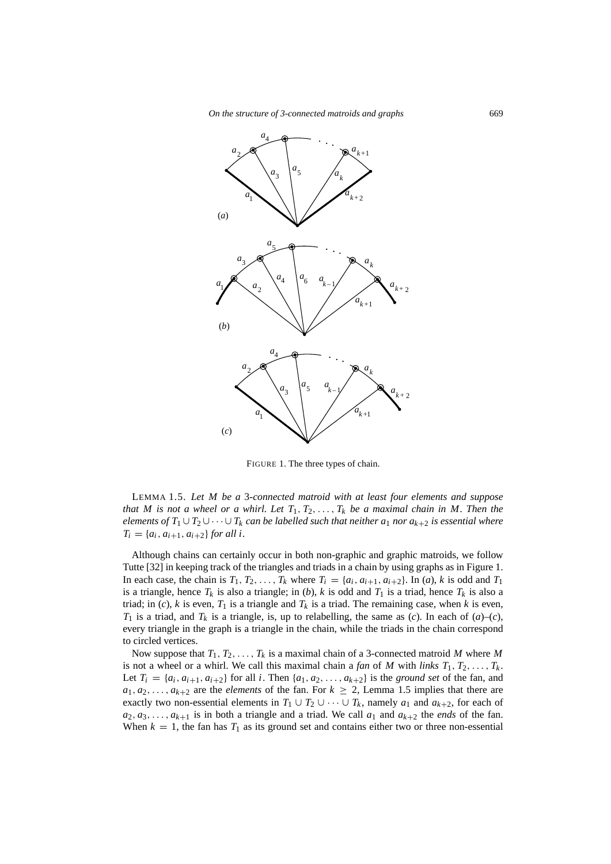

<span id="page-2-0"></span>FIGURE 1. The three types of chain.

LEMMA 1.5. *Let M be a* 3*-connected matroid with at least four elements and suppose that M is not a wheel or a whirl. Let*  $T_1, T_2, \ldots, T_k$  *be a maximal chain in M. Then the elements of*  $T_1 \cup T_2 \cup \cdots \cup T_k$  *can be labelled such that neither a<sub>1</sub> nor*  $a_{k+2}$  *is essential where*  $T_i = \{a_i, a_{i+1}, a_{i+2}\}$  *for all i.* 

Although chains can certainly occur in both non-graphic and graphic matroids, we follow Tutte [[32\]](#page-21-0) in keeping track of the triangles and triads in a chain by using graphs as in Figure [1.](#page-2-0) In each case, the chain is  $T_1, T_2, \ldots, T_k$  where  $T_i = \{a_i, a_{i+1}, a_{i+2}\}$ . In (*a*), *k* is odd and  $T_1$ is a triangle, hence  $T_k$  is also a triangle; in (*b*), *k* is odd and  $T_1$  is a triad, hence  $T_k$  is also a triad; in (*c*), *k* is even,  $T_1$  is a triangle and  $T_k$  is a triad. The remaining case, when *k* is even,  $T_1$  is a triad, and  $T_k$  is a triangle, is, up to relabelling, the same as (*c*). In each of (*a*)–(*c*), every triangle in the graph is a triangle in the chain, while the triads in the chain correspond to circled vertices.

Now suppose that *T*1, *T*2, . . . , *T<sup>k</sup>* is a maximal chain of a 3-connected matroid *M* where *M* is not a wheel or a whirl. We call this maximal chain a *fan* of *M* with *links*  $T_1, T_2, \ldots, T_k$ . Let  $T_i = \{a_i, a_{i+1}, a_{i+2}\}$  for all *i*. Then  $\{a_1, a_2, \ldots, a_{k+2}\}$  is the *ground set* of the fan, and  $a_1, a_2, \ldots, a_{k+2}$  are the *elements* of the fan. For  $k \geq 2$ , Lemma [1.5](#page-1-0) implies that there are exactly two non-essential elements in  $T_1 \cup T_2 \cup \cdots \cup T_k$ , namely  $a_1$  and  $a_{k+2}$ , for each of  $a_2, a_3, \ldots, a_{k+1}$  is in both a triangle and a triad. We call  $a_1$  and  $a_{k+2}$  the *ends* of the fan. When  $k = 1$ , the fan has  $T_1$  as its ground set and contains either two or three non-essential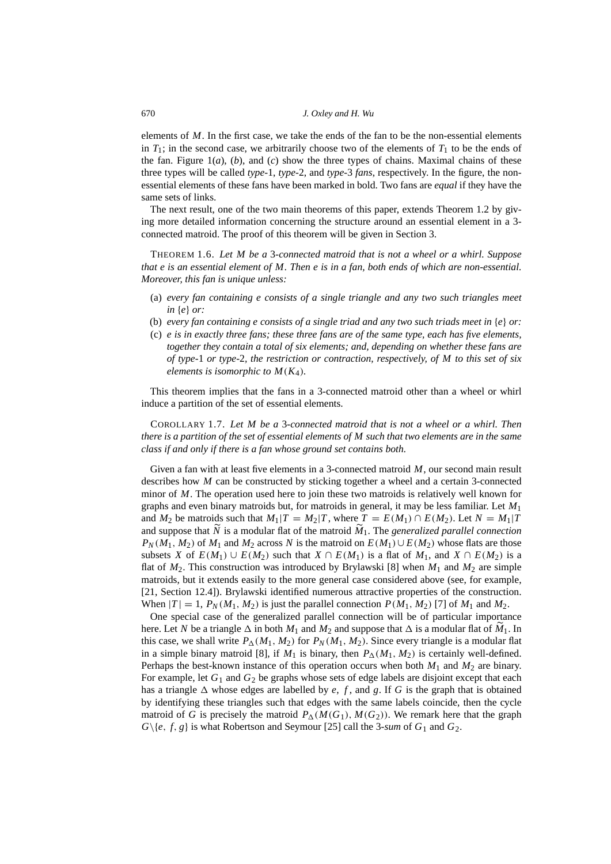elements of *M*. In the first case, we take the ends of the fan to be the non-essential elements in  $T_1$ ; in the second case, we arbitrarily choose two of the elements of  $T_1$  to be the ends of the fan. Figure  $1(a)$  $1(a)$ ,  $(b)$ , and  $(c)$  show the three types of chains. Maximal chains of these three types will be called *type-*1, *type-*2, and *type-*3 *fans*, respectively. In the figure, the nonessential elements of these fans have been marked in bold. Two fans are *equal* if they have the same sets of links.

The next result, one of the two main theorems of this paper, extends Theorem [1.2](#page-0-1) by giving more detailed information concerning the structure around an essential element in a 3 connected matroid. The proof of this theorem will be given in Section [3](#page-7-0).

<span id="page-3-0"></span>THEOREM 1.6. *Let M be a* 3*-connected matroid that is not a wheel or a whirl. Suppose that e is an essential element of M. Then e is in a fan, both ends of which are non-essential. Moreover, this fan is unique unless:*

- (a) *every fan containing e consists of a single triangle and any two such triangles meet in* {*e*} *or:*
- (b) *every fan containing e consists of a single triad and any two such triads meet in* {*e*} *or:*
- (c) *e is in exactly three fans; these three fans are of the same type, each has five elements, together they contain a total of six elements; and, depending on whether these fans are of type-*1 *or type-*2*, the restriction or contraction, respectively, of M to this set of six elements is isomorphic to*  $M(K_4)$ *.*

This theorem implies that the fans in a 3-connected matroid other than a wheel or whirl induce a partition of the set of essential elements.

COROLLARY 1.7. *Let M be a* 3*-connected matroid that is not a wheel or a whirl. Then there is a partition of the set of essential elements of M such that two elements are in the same class if and only if there is a fan whose ground set contains both.*

Given a fan with at least five elements in a 3-connected matroid *M*, our second main result describes how *M* can be constructed by sticking together a wheel and a certain 3-connected minor of *M*. The operation used here to join these two matroids is relatively well known for graphs and even binary matroids but, for matroids in general, it may be less familiar. Let *M*<sup>1</sup> and  $M_2$  be matroids such that  $M_1|T = M_2|T$ , where  $T = E(M_1) \cap E(M_2)$ . Let  $N = M_1|T$ and suppose that  $\tilde{N}$  is a modular flat of the matroid  $\tilde{M}_1$ . The *generalized parallel connection*  $P_N(M_1, M_2)$  of  $M_1$  and  $M_2$  across  $N$  is the matroid on  $E(M_1) \cup E(M_2)$  whose flats are those subsets *X* of  $E(M_1) \cup E(M_2)$  such that  $X \cap E(M_1)$  is a flat of  $M_1$ , and  $X \cap E(M_2)$  is a flat of  $M_2$ . This construction was introduced by Brylawski [[8\]](#page-21-17) when  $M_1$  and  $M_2$  are simple matroids, but it extends easily to the more general case considered above (see, for example, [\[21](#page-21-11), Section 12.4]). Brylawski identified numerous attractive properties of the construction. When  $|T| = 1$ ,  $P_N(M_1, M_2)$  is just the parallel connection  $P(M_1, M_2)$  [[7\]](#page-21-18) of  $M_1$  and  $M_2$ .

One special case of the generalized parallel connection will be of particular importance here. Let *N* be a triangle  $\Delta$  in both  $M_1$  and  $M_2$  and suppose that  $\Delta$  is a modular flat of  $M_1$ . In this case, we shall write  $P_{\Delta}(M_1, M_2)$  for  $P_N(M_1, M_2)$ . Since every triangle is a modular flat in a simple binary matroid [\[8](#page-21-17)], if  $M_1$  is binary, then  $P_{\Delta}(M_1, M_2)$  is certainly well-defined. Perhaps the best-known instance of this operation occurs when both *M*<sup>1</sup> and *M*<sup>2</sup> are binary. For example, let  $G_1$  and  $G_2$  be graphs whose sets of edge labels are disjoint except that each has a triangle  $\Delta$  whose edges are labelled by *e*, *f*, and *g*. If *G* is the graph that is obtained by identifying these triangles such that edges with the same labels coincide, then the cycle matroid of *G* is precisely the matroid  $P_{\Delta}(M(G_1), M(G_2))$ . We remark here that the graph  $G\backslash\{e, f, g\}$  is what Robertson and Seymour [\[25](#page-21-19)] call the 3-*sum* of  $G_1$  and  $G_2$ .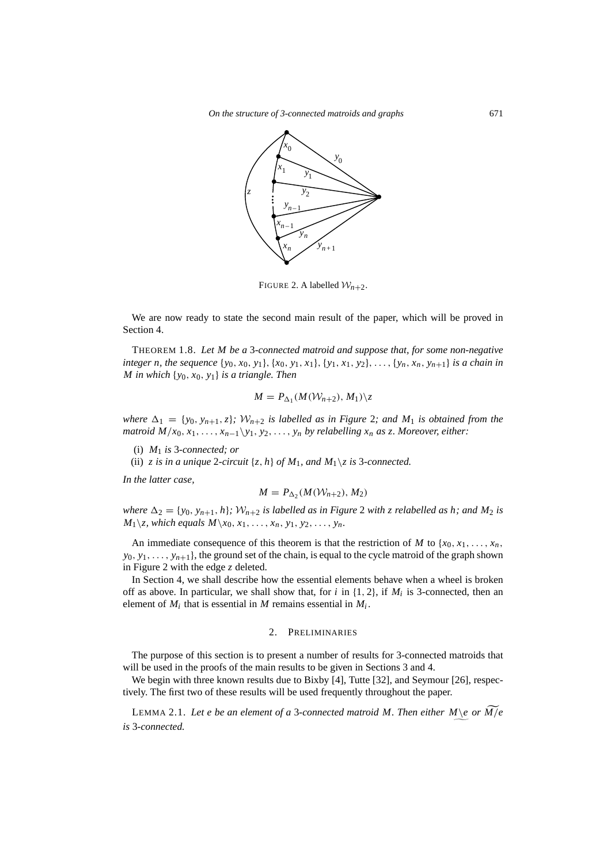

<span id="page-4-2"></span>FIGURE 2. A labelled  $\mathcal{W}_{n+2}$ .

We are now ready to state the second main result of the paper, which will be proved in Section [4](#page-10-0).

<span id="page-4-0"></span>THEOREM 1.8. *Let M be a* 3*-connected matroid and suppose that, for some non-negative integer n, the sequence*  $\{y_0, x_0, y_1\}, \{x_0, y_1, x_1\}, \{y_1, x_1, y_2\}, \ldots, \{y_n, x_n, y_{n+1}\}$  *is a chain in M in which* {*y*0, *x*0, *y*1} *is a triangle. Then*

$$
M = P_{\Delta_1}(M(\mathcal{W}_{n+2}), M_1) \setminus z
$$

*where*  $\Delta_1 = \{y_0, y_{n+1}, z\}$ *;*  $W_{n+2}$  $W_{n+2}$  $W_{n+2}$  *is labelled as in Figure 2; and*  $M_1$  *is obtained from the matroid*  $M/x_0, x_1, \ldots, x_{n-1}\y_1, y_2, \ldots, y_n$  *by relabelling*  $x_n$  *as z. Moreover, either:* 

(i) *M*<sup>1</sup> *is* 3*-connected; or*

(ii) *z* is in a unique 2-circuit  $\{z, h\}$  of  $M_1$ , and  $M_1 \setminus z$  is 3-connected.

*In the latter case,*

$$
M = P_{\Delta_2}(M(\mathcal{W}_{n+2}), M_2)
$$

*where*  $\Delta_2 = \{y_0, y_{n+1}, h\}$  $\Delta_2 = \{y_0, y_{n+1}, h\}$  $\Delta_2 = \{y_0, y_{n+1}, h\}$ *;*  $W_{n+2}$  *is labelled as in Figure* 2 *with z relabelled as h; and*  $M_2$  *is*  $M_1 \setminus \mathbb{Z}$ , which equals  $M \setminus x_0, x_1, \ldots, x_n, y_1, y_2, \ldots, y_n$ .

An immediate consequence of this theorem is that the restriction of *M* to  $\{x_0, x_1, \ldots, x_n\}$  $y_0, y_1, \ldots, y_{n+1}$ , the ground set of the chain, is equal to the cycle matroid of the graph shown in Figure [2](#page-4-2) with the edge *z* deleted.

In Section [4](#page-10-0), we shall describe how the essential elements behave when a wheel is broken off as above. In particular, we shall show that, for  $i$  in  $\{1, 2\}$ , if  $M_i$  is 3-connected, then an element of  $M_i$  that is essential in  $M$  remains essential in  $M_i$ .

# 2. PRELIMINARIES

<span id="page-4-1"></span>The purpose of this section is to present a number of results for 3-connected matroids that will be used in the proofs of the main results to be given in Sections [3](#page-7-0) and [4.](#page-10-0)

We begin with three known results due to Bixby [[4\]](#page-20-1), Tutte [\[32](#page-21-0)], and Seymour [\[26](#page-21-12)], respectively. The first two of these results will be used frequently throughout the paper.

<span id="page-4-3"></span>LEMMA 2.1. Let e be an element of a 3-connected matroid M. Then either  $M\geq o r$   $\widetilde{M/e}$ *is* 3*-connected.*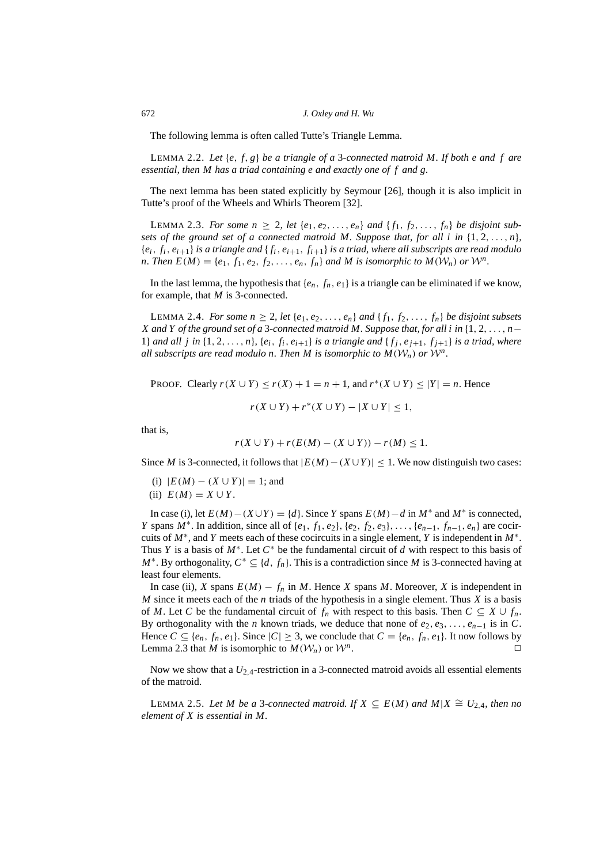The following lemma is often called Tutte's Triangle Lemma.

<span id="page-5-3"></span>LEMMA 2.2. *Let* {*e*, *f*, *g*} *be a triangle of a* 3*-connected matroid M. If both e and f are essential, then M has a triad containing e and exactly one of f and g.*

The next lemma has been stated explicitly by Seymour [[26\]](#page-21-12), though it is also implicit in Tutte's proof of the Wheels and Whirls Theorem [[32\]](#page-21-0).

<span id="page-5-0"></span>**LEMMA 2.3.** For some  $n \geq 2$ , let  $\{e_1, e_2, \ldots, e_n\}$  and  $\{f_1, f_2, \ldots, f_n\}$  be disjoint sub*sets of the ground set of a connected matroid M. Suppose that, for all i in*  $\{1, 2, \ldots, n\}$ ,  ${e_i, f_i, e_{i+1}}$  *is a triangle and*  ${f_i, e_{i+1}, f_{i+1}}$  *is a triad, where all subscripts are read modulo n.* Then  $E(M) = \{e_1, f_1, e_2, f_2, \ldots, e_n, f_n\}$  and M is isomorphic to  $M(\mathcal{W}_n)$  or  $\mathcal{W}^n$ .

In the last lemma, the hypothesis that  $\{e_n, f_n, e_1\}$  is a triangle can be eliminated if we know, for example, that *M* is 3-connected.

<span id="page-5-2"></span>LEMMA 2.4. *For some n*  $\geq$  2, *let* { $e_1, e_2, \ldots, e_n$ } *and* { $f_1, f_2, \ldots, f_n$ } *be disjoint subsets X and Y of the ground set of a* 3*-connected matroid M. Suppose that, for all i in* {1, 2, . . . , *n*− 1} and all j in  $\{1, 2, \ldots, n\}$ ,  $\{e_i, f_i, e_{i+1}\}$  is a triangle and  $\{f_i, e_{i+1}, f_{i+1}\}$  is a triad, where *all subscripts are read modulo n. Then M is isomorphic to*  $M(\mathcal{W}_n)$  *or*  $\mathcal{W}^n$ *.* 

PROOF. Clearly  $r(X \cup Y) \le r(X) + 1 = n + 1$ , and  $r^*(X \cup Y) \le |Y| = n$ . Hence

$$
r(X \cup Y) + r^*(X \cup Y) - |X \cup Y| \leq 1,
$$

that is,

$$
r(X \cup Y) + r(E(M) - (X \cup Y)) - r(M) \le 1.
$$

Since *M* is 3-connected, it follows that  $|E(M) - (X \cup Y)| \le 1$ . We now distinguish two cases:

- (i)  $|E(M) (X \cup Y)| = 1$ ; and
- (ii)  $E(M) = X \cup Y$ .

In case (i), let  $E(M) - (X \cup Y) = \{d\}$ . Since *Y* spans  $E(M) - d$  in  $M^*$  and  $M^*$  is connected, *Y* spans  $M^*$ . In addition, since all of  $\{e_1, f_1, e_2\}$ ,  $\{e_2, f_2, e_3\}$ , ...,  $\{e_{n-1}, f_{n-1}, e_n\}$  are cocircuits of  $M^*$ , and *Y* meets each of these cocircuits in a single element, *Y* is independent in  $M^*$ . Thus *Y* is a basis of  $M^*$ . Let  $C^*$  be the fundamental circuit of *d* with respect to this basis of *M*<sup>∗</sup>. By orthogonality,  $C^* \subseteq \{d, f_n\}$ . This is a contradiction since *M* is 3-connected having at least four elements.

In case (ii), *X* spans  $E(M) - f_n$  in *M*. Hence *X* spans *M*. Moreover, *X* is independent in *M* since it meets each of the *n* triads of the hypothesis in a single element. Thus *X* is a basis of *M*. Let *C* be the fundamental circuit of  $f_n$  with respect to this basis. Then  $C \subseteq X \cup f_n$ . By orthogonality with the *n* known triads, we deduce that none of  $e_2, e_3, \ldots, e_{n-1}$  is in C. Hence  $C \subseteq \{e_n, f_n, e_1\}$ . Since  $|C| \geq 3$ , we conclude that  $C = \{e_n, f_n, e_1\}$ . It now follows by Lemma [2.3](#page-5-0) that *M* is isomorphic to  $M(\mathcal{W}_n)$  or  $\mathcal{W}^n$ . . The contract of  $\Box$ 

Now we show that a  $U_{2,4}$ -restriction in a 3-connected matroid avoids all essential elements of the matroid.

<span id="page-5-1"></span>LEMMA 2.5. Let *M* be a 3-connected matroid. If *X* ⊆  $E(M)$  and  $M|X ≅ U_{2,4}$ , then no *element of X is essential in M.*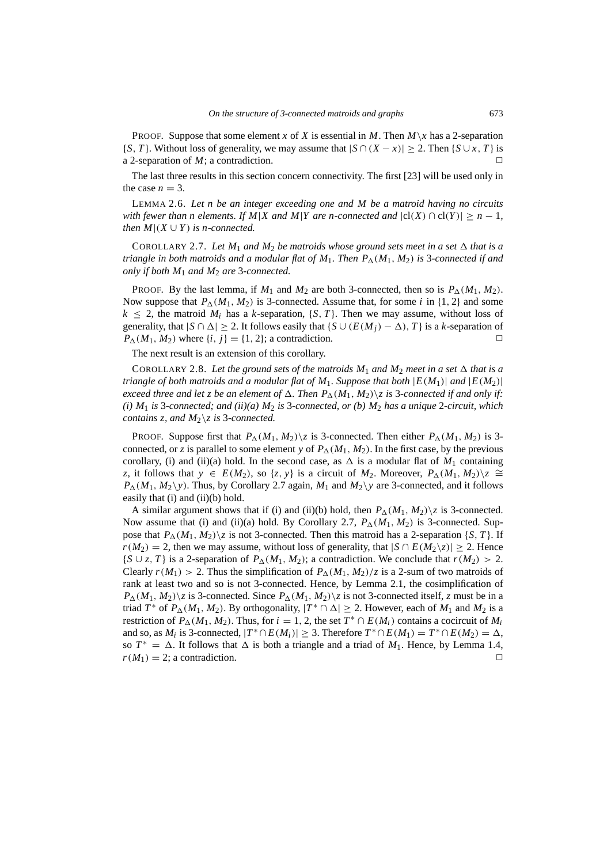**PROOF.** Suppose that some element *x* of *X* is essential in *M*. Then  $M\setminus x$  has a 2-separation {*S*, *T*}. Without loss of generality, we may assume that  $|S \cap (X - x)| \ge 2$ . Then {*S* ∪ *x*, *T*} is a 2-separation of  $M$ ; a contradiction.

The last three results in this section concern connectivity. The first [[23\]](#page-21-20) will be used only in the case  $n = 3$ .

LEMMA 2.6. *Let n be an integer exceeding one and M be a matroid having no circuits with fewer than n elements. If M|X and M|Y are n-connected and*  $|cl(X) \cap cl(Y)| \geq n - 1$ *, then*  $M|(X \cup Y)$  *is n-connected.* 

<span id="page-6-0"></span>COROLLARY 2.7. Let  $M_1$  and  $M_2$  be matroids whose ground sets meet in a set  $\Delta$  that is a *triangle in both matroids and a modular flat of*  $M_1$ *. Then*  $P_{\Delta}(M_1, M_2)$  *is 3-connected if and only if both M*<sup>1</sup> *and M*<sup>2</sup> *are* 3*-connected.*

PROOF. By the last lemma, if  $M_1$  and  $M_2$  are both 3-connected, then so is  $P_{\Delta}(M_1, M_2)$ . Now suppose that  $P_{\Lambda}(M_1, M_2)$  is 3-connected. Assume that, for some *i* in {1, 2} and some  $k < 2$ , the matroid  $M_i$  has a *k*-separation,  $\{S, T\}$ . Then we may assume, without loss of generality, that  $|S \cap \Delta| \ge 2$ . It follows easily that  $\{S \cup (E(M_i) - \Delta), T\}$  is a *k*-separation of  $P_{\Delta}(M_1, M_2)$  where  $\{i, j\} = \{1, 2\}$ ; a contradiction.

The next result is an extension of this corollary.

<span id="page-6-1"></span>COROLLARY 2.8. Let the ground sets of the matroids  $M_1$  and  $M_2$  meet in a set  $\Delta$  that is a *triangle of both matroids and a modular flat of*  $M_1$ *. Suppose that both*  $|E(M_1)|$  *and*  $|E(M_2)|$ *exceed three and let z be an element of*  $\Delta$ . Then  $P_{\Delta}(M_1, M_2)\$ *z is* 3*-connected if and only if: (i) M*<sup>1</sup> *is* 3*-connected; and (ii)(a) M*<sup>2</sup> *is* 3*-connected, or (b) M*<sup>2</sup> *has a unique* 2*-circuit, which contains z, and M*2\*z is* 3*-connected.*

**PROOF.** Suppose first that  $P_{\Delta}(M_1, M_2)\$  is 3-connected. Then either  $P_{\Delta}(M_1, M_2)$  is 3connected, or *z* is parallel to some element *y* of  $P_{\Delta}(M_1, M_2)$ . In the first case, by the previous corollary, (i) and (ii)(a) hold. In the second case, as  $\Delta$  is a modular flat of  $M_1$  containing *z*, it follows that  $y \in E(M_2)$ , so  $\{z, y\}$  is a circuit of  $M_2$ . Moreover,  $P_{\Delta}(M_1, M_2)\$  $\cong$  $P_{\Delta}(M_1, M_2 \ y)$ . Thus, by Corollary [2.7](#page-6-0) again,  $M_1$  and  $M_2 \ y$  are 3-connected, and it follows easily that (i) and (ii)(b) hold.

A similar argument shows that if (i) and (ii)(b) hold, then  $P_{\Delta}(M_1, M_2)\$  is 3-connected. Now assume that (i) and (ii)(a) hold. By Corollary [2.7](#page-6-0),  $P_{\Lambda}(M_1, M_2)$  is 3-connected. Suppose that  $P_{\Lambda}(M_1, M_2)$  is not 3-connected. Then this matroid has a 2-separation {*S*, *T*}. If *r*(*M*<sub>2</sub>) = 2, then we may assume, without loss of generality, that  $|S \cap E(M_2\setminus z)| \ge 2$ . Hence {*S* ∪ *z*, *T*} is a 2-separation of  $P_{\Delta}(M_1, M_2)$ ; a contradiction. We conclude that  $r(M_2) > 2$ . Clearly  $r(M_1) > 2$ . Thus the simplification of  $P_{\Delta}(M_1, M_2)/z$  is a 2-sum of two matroids of rank at least two and so is not 3-connected. Hence, by Lemma [2.1](#page-4-3), the cosimplification of  $P_{\Delta}(M_1, M_2)$  *z* is 3-connected. Since  $P_{\Delta}(M_1, M_2)$  *z* is not 3-connected itself, *z* must be in a triad  $T^*$  of  $P_{\Delta}(M_1, M_2)$ . By orthogonality,  $|T^* \cap \Delta| \ge 2$ . However, each of  $M_1$  and  $M_2$  is a restriction of  $P_{\Delta}(M_1, M_2)$ . Thus, for  $i = 1, 2$ , the set  $T^* \cap E(M_i)$  contains a cocircuit of  $M_i$ and so, as  $M_i$  is 3-connected,  $|T^* \cap E(M_i)| \geq 3$ . Therefore  $T^* \cap E(M_1) = T^* \cap E(M_2) = \Delta$ , so  $T^* = \Delta$ . It follows that  $\Delta$  is both a triangle and a triad of  $M_1$ . Hence, by Lemma [1.4,](#page-1-1)  $r(M_1) = 2$ ; a contradiction.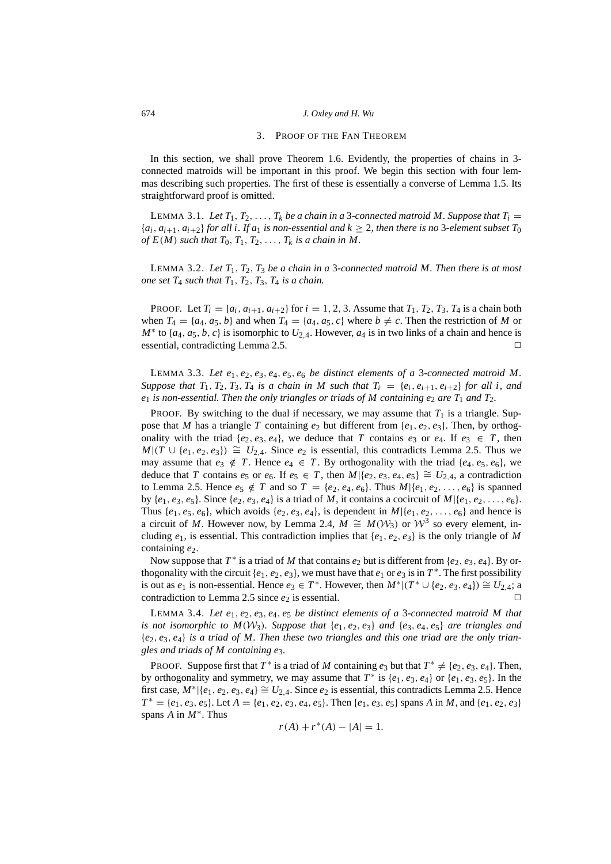# 3. PROOF OF THE FAN THEOREM

<span id="page-7-0"></span>In this section, we shall prove Theorem [1.6](#page-3-0). Evidently, the properties of chains in 3 connected matroids will be important in this proof. We begin this section with four lemmas describing such properties. The first of these is essentially a converse of Lemma [1.5](#page-1-0). Its straightforward proof is omitted.

<span id="page-7-3"></span>LEMMA 3.1. Let  $T_1, T_2, \ldots, T_k$  be a chain in a 3-connected matroid M. Suppose that  $T_i =$  ${a_i, a_{i+1}, a_{i+2}}$  *for all i. If a<sub>1</sub> is non-essential and*  $k \geq 2$ *, then there is no* 3*-element subset T*<sub>0</sub> *of*  $E(M)$  *such that*  $T_0, T_1, T_2, \ldots, T_k$  *is a chain in M.* 

<span id="page-7-4"></span>LEMMA 3.2. Let  $T_1, T_2, T_3$  be a chain in a 3-connected matroid M. Then there is at most *one set*  $T_4$  *such that*  $T_1$ ,  $T_2$ ,  $T_3$ ,  $T_4$  *is a chain.* 

**PROOF.** Let  $T_i = \{a_i, a_{i+1}, a_{i+2}\}$  for  $i = 1, 2, 3$ . Assume that  $T_1, T_2, T_3, T_4$  is a chain both when  $T_4 = \{a_4, a_5, b\}$  and when  $T_4 = \{a_4, a_5, c\}$  where  $b \neq c$ . Then the restriction of *M* or  $M^*$  to  $\{a_4, a_5, b, c\}$  is isomorphic to  $U_{2,4}$ . However,  $a_4$  is in two links of a chain and hence is essential, contradicting Lemma [2.5](#page-5-1).

<span id="page-7-2"></span>LEMMA 3.3. *Let e*1, *e*2, *e*3, *e*4, *e*5, *e*<sup>6</sup> *be distinct elements of a* 3*-connected matroid M. Suppose that*  $T_1$ ,  $T_2$ ,  $T_3$ ,  $T_4$  *is a chain in* M such that  $T_i = \{e_i, e_{i+1}, e_{i+2}\}$  for all *i, and*  $e_1$  *is non-essential. Then the only triangles or triads of M containing*  $e_2$  *are*  $T_1$  *and*  $T_2$ *.* 

PROOF. By switching to the dual if necessary, we may assume that  $T_1$  is a triangle. Suppose that *M* has a triangle *T* containing  $e_2$  but different from  $\{e_1, e_2, e_3\}$ . Then, by orthogonality with the triad  $\{e_2, e_3, e_4\}$ , we deduce that *T* contains  $e_3$  or  $e_4$ . If  $e_3 \in T$ , then  $M|(T \cup \{e_1, e_2, e_3\}) \cong U_{2,4}$ . Since  $e_2$  is essential, this contradicts Lemma [2.5.](#page-5-1) Thus we may assume that  $e_3 \notin T$ . Hence  $e_4 \in T$ . By orthogonality with the triad  $\{e_4, e_5, e_6\}$ , we deduce that *T* contains  $e_5$  or  $e_6$ . If  $e_5 \in T$ , then  $M | \{e_2, e_3, e_4, e_5\} \cong U_{2,4}$ , a contradiction to Lemma [2.5.](#page-5-1) Hence  $e_5 \notin T$  and so  $T = \{e_2, e_4, e_6\}$ . Thus  $M\{e_1, e_2, \ldots, e_6\}$  is spanned by  ${e_1, e_3, e_5}$ . Since  ${e_2, e_3, e_4}$  is a triad of *M*, it contains a cocircuit of  $M{|\{e_1, e_2, \ldots, e_6\}|}$ . Thus  $\{e_1, e_5, e_6\}$ , which avoids  $\{e_2, e_3, e_4\}$ , is dependent in  $M\{\{e_1, e_2, \ldots, e_6\}$  and hence is a circuit of *M*. However now, by Lemma [2.4,](#page-5-2)  $M \cong M(W_3)$  or  $W^3$  so every element, including  $e_1$ , is essential. This contradiction implies that  $\{e_1, e_2, e_3\}$  is the only triangle of *M* containing  $e_2$ .

Now suppose that  $T^*$  is a triad of *M* that contains  $e_2$  but is different from  $\{e_2, e_3, e_4\}$ . By orthogonality with the circuit  $\{e_1, e_2, e_3\}$ , we must have that  $e_1$  or  $e_3$  is in  $T^*$ . The first possibility is out as  $e_1$  is non-essential. Hence  $e_3 \in T^*$ . However, then  $M^* | (T^* \cup \{e_2, e_3, e_4\}) \cong U_{2,4}$ ; a contradiction to Lemma [2.5](#page-5-1) since  $e_2$  is essential.  $\Box$ 

<span id="page-7-1"></span>LEMMA 3.4. *Let e*1, *e*2, *e*3, *e*4, *e*<sup>5</sup> *be distinct elements of a* 3*-connected matroid M that is not isomorphic to*  $M(\mathcal{W}_3)$ *. Suppose that*  $\{e_1, e_2, e_3\}$  *and*  $\{e_3, e_4, e_5\}$  *are triangles and* {*e*2, *e*3, *e*4} *is a triad of M. Then these two triangles and this one triad are the only triangles and triads of M containing e*3*.*

PROOF. Suppose first that  $T^*$  is a triad of *M* containing  $e_3$  but that  $T^* \neq \{e_2, e_3, e_4\}$ . Then, by orthogonality and symmetry, we may assume that  $T^*$  is  $\{e_1, e_3, e_4\}$  or  $\{e_1, e_3, e_5\}$ . In the first case,  $M^*$   $|\{e_1, e_2, e_3, e_4\} \cong U_{2,4}$ . Since  $e_2$  is essential, this contradicts Lemma [2.5](#page-5-1). Hence  $T^* = \{e_1, e_3, e_5\}$ . Let  $A = \{e_1, e_2, e_3, e_4, e_5\}$ . Then  $\{e_1, e_3, e_5\}$  spans *A* in *M*, and  $\{e_1, e_2, e_3\}$ spans  $\overrightarrow{A}$  in  $\overrightarrow{M^*}$ . Thus

$$
r(A) + r^*(A) - |A| = 1.
$$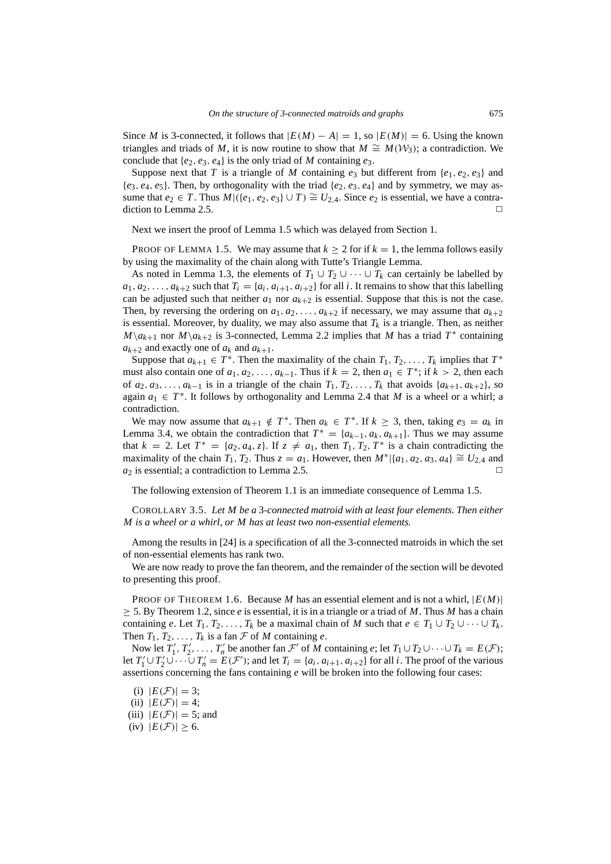Since *M* is 3-connected, it follows that  $|E(M) - A| = 1$ , so  $|E(M)| = 6$ . Using the known triangles and triads of *M*, it is now routine to show that  $M \cong M(\mathcal{W}_3)$ ; a contradiction. We conclude that  $\{e_2, e_3, e_4\}$  is the only triad of *M* containing  $e_3$ .

Suppose next that *T* is a triangle of *M* containing  $e_3$  but different from  $\{e_1, e_2, e_3\}$  and  ${e_3, e_4, e_5}$ . Then, by orthogonality with the triad  ${e_2, e_3, e_4}$  and by symmetry, we may assume that  $e_2 \in T$ . Thus  $M$ |({ $e_1, e_2, e_3$ } ∪ *T*)  $\cong U_{2,4}$ . Since  $e_2$  is essential, we have a contra-diction to Lemma [2.5.](#page-5-1)  $\Box$ 

Next we insert the proof of Lemma [1.5](#page-1-0) which was delayed from Section [1.](#page-0-2)

PROOF OF LEMMA [1.5](#page-1-0). We may assume that  $k \ge 2$  for if  $k = 1$ , the lemma follows easily by using the maximality of the chain along with Tutte's Triangle Lemma.

As noted in Lemma [1.3](#page-1-2), the elements of  $T_1 \cup T_2 \cup \cdots \cup T_k$  can certainly be labelled by  $a_1, a_2, \ldots, a_{k+2}$  such that  $T_i = \{a_i, a_{i+1}, a_{i+2}\}$  for all *i*. It remains to show that this labelling can be adjusted such that neither  $a_1$  nor  $a_{k+2}$  is essential. Suppose that this is not the case. Then, by reversing the ordering on  $a_1, a_2, \ldots, a_{k+2}$  if necessary, we may assume that  $a_{k+2}$ is essential. Moreover, by duality, we may also assume that  $T_k$  is a triangle. Then, as neither  $M\setminus a_{k+1}$  nor  $M\setminus a_{k+2}$  is 3-connected, Lemma [2.2](#page-5-3) implies that *M* has a triad  $T^*$  containing  $a_{k+2}$  and exactly one of  $a_k$  and  $a_{k+1}$ .

Suppose that  $a_{k+1} \in T^*$ . Then the maximality of the chain  $T_1, T_2, \ldots, T_k$  implies that  $T^*$ must also contain one of  $a_1, a_2, \ldots, a_{k-1}$ . Thus if  $k = 2$ , then  $a_1 \in T^*$ ; if  $k > 2$ , then each of  $a_2, a_3, \ldots, a_{k-1}$  is in a triangle of the chain  $T_1, T_2, \ldots, T_k$  that avoids  $\{a_{k+1}, a_{k+2}\}\$ , so again  $a_1 \in T^*$ . It follows by orthogonality and Lemma [2.4](#page-5-2) that *M* is a wheel or a whirl; a contradiction.

We may now assume that  $a_{k+1} \notin T^*$ . Then  $a_k \in T^*$ . If  $k \geq 3$ , then, taking  $e_3 = a_k$  in Lemma [3.4,](#page-7-1) we obtain the contradiction that  $T^* = \{a_{k-1}, a_k, a_{k+1}\}\$ . Thus we may assume that  $k = 2$ . Let  $T^* = \{a_2, a_4, z\}$ . If  $z \neq a_1$ , then  $T_1, T_2, T^*$  is a chain contradicting the maximality of the chain  $T_1$ ,  $T_2$ . Thus  $z = a_1$ . However, then  $M^* | {a_1, a_2, a_3, a_4} \cong U_{2,4}$  and  $a_2$  is essential; a contradiction to Lemma [2.5.](#page-5-1)

The following extension of Theorem [1.1](#page-0-0) is an immediate consequence of Lemma [1.5](#page-1-0).

COROLLARY 3.5. *Let M be a* 3*-connected matroid with at least four elements. Then either M is a wheel or a whirl, or M has at least two non-essential elements.*

Among the results in [\[24](#page-21-14)] is a specification of all the 3-connected matroids in which the set of non-essential elements has rank two.

We are now ready to prove the fan theorem, and the remainder of the section will be devoted to presenting this proof.

PROOF OF THEOREM [1.6](#page-3-0). Because *M* has an essential element and is not a whirl, |*E*(*M*)|  $\geq$  5. By Theorem [1.2,](#page-0-1) since *e* is essential, it is in a triangle or a triad of *M*. Thus *M* has a chain containing *e*. Let  $T_1, T_2, \ldots, T_k$  be a maximal chain of *M* such that  $e \in T_1 \cup T_2 \cup \cdots \cup T_k$ . Then  $T_1, T_2, \ldots, T_k$  is a fan  $\mathcal F$  of  $M$  containing  $e$ .

Now let  $T_1'$  $T_1', T_2'$  $T'_2, \ldots, T'_n$  be another fan  $\mathcal{F}'$  of *M* containing *e*; let  $T_1 \cup T_2 \cup \cdots \cup T_k = E(\mathcal{F})$ ; let  $T_1'$  $T_1' \cup T_2'$  $T_2' \cup \cdots \cup T_n' = E(\mathcal{F}')$ ; and let  $T_i = \{a_i, a_{i+1}, a_{i+2}\}$  for all *i*. The proof of the various assertions concerning the fans containing *e* will be broken into the following four cases:

(ii)  $|E(\mathcal{F})|=4;$ 

(iii)  $|E(\mathcal{F})| = 5$ ; and

(iv)  $|E(\mathcal{F})| \geq 6$ .

<sup>(</sup>i)  $|E(\mathcal{F})| = 3;$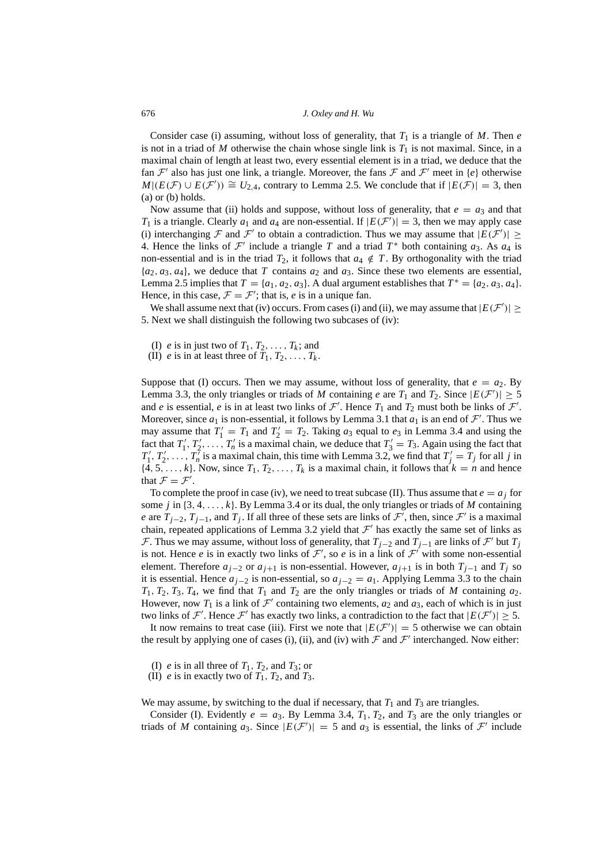Consider case (i) assuming, without loss of generality, that  $T_1$  is a triangle of  $M$ . Then  $e$ is not in a triad of  $M$  otherwise the chain whose single link is  $T_1$  is not maximal. Since, in a maximal chain of length at least two, every essential element is in a triad, we deduce that the fan  $\mathcal{F}'$  also has just one link, a triangle. Moreover, the fans  $\mathcal F$  and  $\mathcal F'$  meet in {*e*} otherwise  $M|(E(\mathcal{F}) \cup E(\mathcal{F}')) \cong U_{2,4}$ , contrary to Lemma [2.5.](#page-5-1) We conclude that if  $|E(\mathcal{F})| = 3$ , then (a) or (b) holds.

Now assume that (ii) holds and suppose, without loss of generality, that  $e = a_3$  and that  $T_1$  is a triangle. Clearly  $a_1$  and  $a_4$  are non-essential. If  $|E(F')| = 3$ , then we may apply case (i) interchanging  $\mathcal F$  and  $\mathcal F'$  to obtain a contradiction. Thus we may assume that  $|E(\mathcal F')| \ge$ 4. Hence the links of  $\mathcal{F}'$  include a triangle *T* and a triad  $T^*$  both containing  $a_3$ . As  $a_4$  is non-essential and is in the triad  $T_2$ , it follows that  $a_4 \notin T$ . By orthogonality with the triad  ${a_2, a_3, a_4}$ , we deduce that *T* contains  $a_2$  and  $a_3$ . Since these two elements are essential, Lemma [2.5](#page-5-1) implies that  $T = \{a_1, a_2, a_3\}$ . A dual argument establishes that  $T^* = \{a_2, a_3, a_4\}$ . Hence, in this case,  $\mathcal{F} = \mathcal{F}'$ ; that is, *e* is in a unique fan.

We shall assume next that (iv) occurs. From cases (i) and (ii), we may assume that  $|E(F')| \ge$ 5. Next we shall distinguish the following two subcases of (iv):

- (I) *e* is in just two of  $T_1, T_2, \ldots, T_k$ ; and
- (II) *e* is in at least three of  $T_1, T_2, \ldots, T_k$ .

Suppose that (I) occurs. Then we may assume, without loss of generality, that  $e = a_2$ . By Lemma [3.3](#page-7-2), the only triangles or triads of *M* containing *e* are  $T_1$  and  $T_2$ . Since  $|E(F')| \ge 5$ and *e* is essential, *e* is in at least two links of  $\mathcal{F}'$ . Hence  $T_1$  and  $T_2$  must both be links of  $\mathcal{F}'$ . Moreover, since  $a_1$  is non-essential, it follows by Lemma [3.1](#page-7-3) that  $a_1$  is an end of  $\mathcal{F}'$ . Thus we may assume that  $T_1' = T_1$  and  $T_2' = T_2$ . Taking  $a_3$  equal to  $e_3$  in Lemma [3.4](#page-7-1) and using the fact that  $T_1'$  $T_1', T_2'$  $T_2', \ldots, T_n'$  is a maximal chain, we deduce that  $T_3' = T_3$ . Again using the fact that  $T_1'$  $T_1', T_2'$  $T'_2, \ldots, T'_n$  is a maximal chain, this time with Lemma [3.2](#page-7-4), we find that  $T'_j = T_j$  for all *j* in  $\{4, 5, \ldots, k\}$ . Now, since  $T_1, T_2, \ldots, T_k$  is a maximal chain, it follows that  $k = n$  and hence that  $\mathcal{F} = \mathcal{F}'$ .

To complete the proof in case (iv), we need to treat subcase (II). Thus assume that  $e = a_j$  for some *j* in {3, 4, . . . , *k*}. By Lemma [3.4](#page-7-1) or its dual, the only triangles or triads of *M* containing *e* are  $T_{j-2}$ ,  $T_{j-1}$ , and  $T_j$ . If all three of these sets are links of  $\mathcal{F}'$ , then, since  $\mathcal{F}'$  is a maximal chain, repeated applications of Lemma [3.2](#page-7-4) yield that  $\mathcal{F}'$  has exactly the same set of links as F. Thus we may assume, without loss of generality, that  $T_{j-2}$  and  $T_{j-1}$  are links of  $\mathcal{F}'$  but  $T_j$ is not. Hence *e* is in exactly two links of  $\mathcal{F}'$ , so *e* is in a link of  $\mathcal{F}'$  with some non-essential element. Therefore  $a_{i-2}$  or  $a_{i+1}$  is non-essential. However,  $a_{i+1}$  is in both  $T_{i-1}$  and  $T_i$  so it is essential. Hence  $a_{j-2}$  is non-essential, so  $a_{j-2} = a_1$ . Applying Lemma [3.3](#page-7-2) to the chain  $T_1$ ,  $T_2$ ,  $T_3$ ,  $T_4$ , we find that  $T_1$  and  $T_2$  are the only triangles or triads of *M* containing  $a_2$ . However, now  $T_1$  is a link of  $\mathcal{F}'$  containing two elements,  $a_2$  and  $a_3$ , each of which is in just two links of F'. Hence F' has exactly two links, a contradiction to the fact that  $|E(F')| \geq 5$ .

It now remains to treat case (iii). First we note that  $|E(F')| = 5$  otherwise we can obtain the result by applying one of cases (i), (ii), and (iv) with  $\mathcal F$  and  $\mathcal F'$  interchanged. Now either:

- (I) *e* is in all three of  $T_1$ ,  $T_2$ , and  $T_3$ ; or
- (II) *e* is in exactly two of  $T_1$ ,  $T_2$ , and  $T_3$ .

We may assume, by switching to the dual if necessary, that  $T_1$  and  $T_3$  are triangles.

Consider (I). Evidently  $e = a_3$ . By Lemma [3.4](#page-7-1),  $T_1$ ,  $T_2$ , and  $T_3$  are the only triangles or triads of *M* containing  $a_3$ . Since  $|E(F')| = 5$  and  $a_3$  is essential, the links of  $F'$  include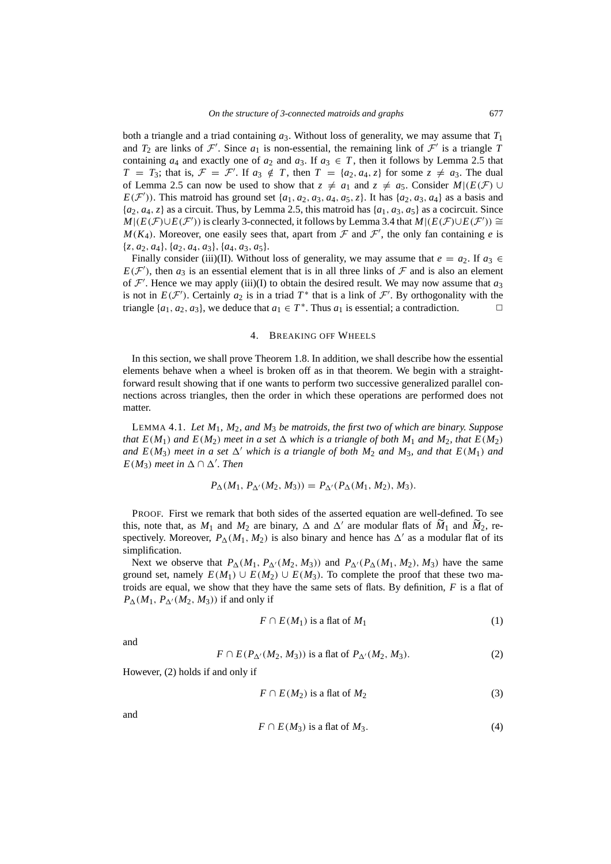both a triangle and a triad containing *a*3. Without loss of generality, we may assume that *T*<sup>1</sup> and  $T_2$  are links of  $\mathcal{F}'$ . Since  $a_1$  is non-essential, the remaining link of  $\mathcal{F}'$  is a triangle  $\tilde{T}$ containing  $a_4$  and exactly one of  $a_2$  and  $a_3$ . If  $a_3 \in T$ , then it follows by Lemma [2.5](#page-5-1) that  $T = T_3$ ; that is,  $\mathcal{F} = \mathcal{F}'$ . If  $a_3 \notin T$ , then  $T = \{a_2, a_4, z\}$  for some  $z \neq a_3$ . The dual of Lemma [2.5](#page-5-1) can now be used to show that  $z \neq a_1$  and  $z \neq a_5$ . Consider  $M|(E(\mathcal{F}) \cup$  $E(F')$ ). This matroid has ground set {*a*<sub>1</sub>, *a*<sub>2</sub>, *a*<sub>3</sub>, *a*<sub>4</sub>, *a*<sub>5</sub>, *z*}. It has {*a*<sub>2</sub>, *a*<sub>3</sub>, *a*<sub>4</sub>} as a basis and  ${a_2, a_4, z}$  as a circuit. Thus, by Lemma [2.5,](#page-5-1) this matroid has  ${a_1, a_3, a_5}$  as a cocircuit. Since  $M|(E(\mathcal{F}) \cup E(\mathcal{F}'))$  is clearly 3-connected, it follows by Lemma [3.4](#page-7-1) that  $M|(E(\mathcal{F}) \cup E(\mathcal{F}')) \cong$  $M(K_4)$ . Moreover, one easily sees that, apart from  $\mathcal F$  and  $\mathcal F'$ , the only fan containing *e* is  $\{z, a_2, a_4\}, \{a_2, a_4, a_3\}, \{a_4, a_3, a_5\}.$ 

Finally consider (iii)(II). Without loss of generality, we may assume that  $e = a_2$ . If  $a_3 \in$  $E(F')$ , then  $a_3$  is an essential element that is in all three links of  $F$  and is also an element of  $\mathcal{F}'$ . Hence we may apply (iii)(I) to obtain the desired result. We may now assume that  $a_3$ is not in  $E(F')$ . Certainly  $a_2$  is in a triad  $T^*$  that is a link of  $\mathcal{F}'$ . By orthogonality with the triangle  $\{a_1, a_2, a_3\}$ , we deduce that  $a_1 \in T^*$ . Thus  $a_1$  is essential; a contradiction.

#### 4. BREAKING OFF WHEELS

<span id="page-10-0"></span>In this section, we shall prove Theorem [1.8](#page-4-0). In addition, we shall describe how the essential elements behave when a wheel is broken off as in that theorem. We begin with a straightforward result showing that if one wants to perform two successive generalized parallel connections across triangles, then the order in which these operations are performed does not matter.

<span id="page-10-5"></span>LEMMA 4.1. *Let M*1*, M*2*, and M*<sup>3</sup> *be matroids, the first two of which are binary. Suppose that*  $E(M_1)$  *and*  $E(M_2)$  *meet in a set*  $\Delta$  *which is a triangle of both*  $M_1$  *and*  $M_2$ *, that*  $E(M_2)$ *and*  $E(M_3)$  *meet in a set*  $\Delta'$  *which is a triangle of both*  $M_2$  *and*  $M_3$ *, and that*  $E(M_1)$  *and E*(*M*<sub>3</sub>) *meet in*  $\Delta \cap \Delta'$ *. Then* 

$$
P_{\Delta}(M_1, P_{\Delta'}(M_2, M_3)) = P_{\Delta'}(P_{\Delta}(M_1, M_2), M_3).
$$

PROOF. First we remark that both sides of the asserted equation are well-defined. To see this, note that, as  $M_1$  and  $M_2$  are binary,  $\Delta$  and  $\Delta'$  are modular flats of  $\widetilde{M}_1$  and  $\widetilde{M}_2$ , respectively. Moreover,  $P_{\Delta}(M_1, M_2)$  is also binary and hence has  $\Delta'$  as a modular flat of its simplification.

Next we observe that  $P_{\Delta}(M_1, P_{\Delta}(M_2, M_3))$  and  $P_{\Delta}(P_{\Delta}(M_1, M_2), M_3)$  have the same ground set, namely  $E(M_1) \cup E(M_2) \cup E(M_3)$ . To complete the proof that these two matroids are equal, we show that they have the same sets of flats. By definition, *F* is a flat of  $P_{\Delta}(M_1, P_{\Delta'}(M_2, M_3))$  if and only if

<span id="page-10-2"></span>
$$
F \cap E(M_1) \text{ is a flat of } M_1 \tag{1}
$$

and

<span id="page-10-1"></span>
$$
F \cap E(P_{\Delta'}(M_2, M_3)) \text{ is a flat of } P_{\Delta'}(M_2, M_3). \tag{2}
$$

However, ([2\)](#page-10-1) holds if and only if

<span id="page-10-3"></span>
$$
F \cap E(M_2) \text{ is a flat of } M_2 \tag{3}
$$

and

<span id="page-10-4"></span>
$$
F \cap E(M_3) \text{ is a flat of } M_3. \tag{4}
$$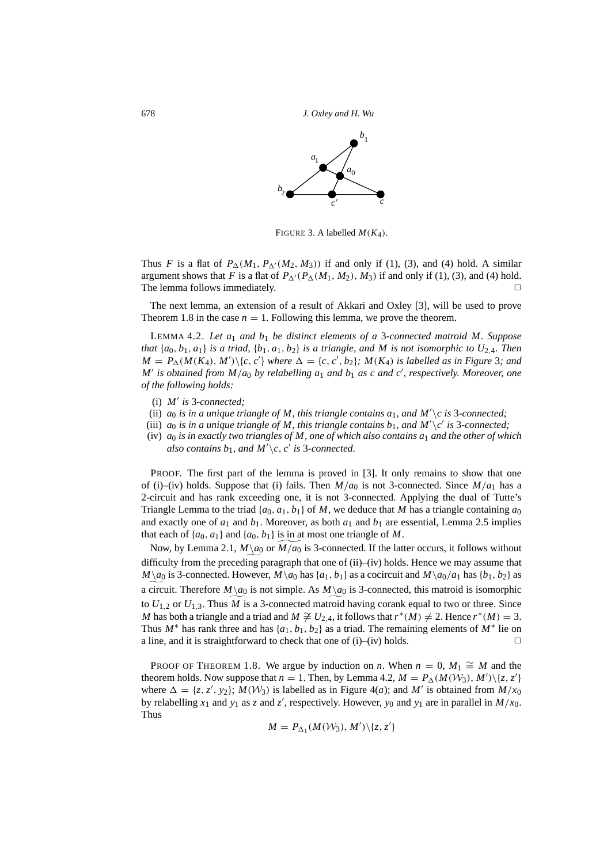

<span id="page-11-0"></span>FIGURE 3. A labelled  $M(K_A)$ .

Thus *F* is a flat of  $P_{\Delta}(M_1, P_{\Delta'}(M_2, M_3))$  $P_{\Delta}(M_1, P_{\Delta'}(M_2, M_3))$  $P_{\Delta}(M_1, P_{\Delta'}(M_2, M_3))$  if and only if (1), [\(3](#page-10-3)), and ([4\)](#page-10-4) hold. A similar argument shows that *F* is a flat of  $P_{\Delta}$ <sup>1</sup>( $P_{\Delta}$ ( $M_1$ ,  $M_2$ ),  $M_3$ ) if and only if [\(1](#page-10-2)), ([3\)](#page-10-3), and [\(4](#page-10-4)) hold. The lemma follows immediately.

The next lemma, an extension of a result of Akkari and Oxley [[3\]](#page-20-2), will be used to prove Theorem [1.8](#page-4-0) in the case  $n = 1$ . Following this lemma, we prove the theorem.

<span id="page-11-1"></span>LEMMA 4.2. *Let a*<sup>1</sup> *and b*<sup>1</sup> *be distinct elements of a* 3*-connected matroid M. Suppose that*  $\{a_0, b_1, a_1\}$  *is a triad,*  $\{b_1, a_1, b_2\}$  *is a triangle, and M is not isomorphic to*  $U_{2,4}$ *. Then*  $M = P_{\Delta}(M(K_4), M')\backslash\{c, c'\}$  where  $\Delta = \{c, c', b_2\}$ ;  $M(K_4)$  is labelled as in Figure [3](#page-11-0); and *M'* is obtained from  $M/a_0$  by relabelling  $a_1$  and  $b_1$  as c and c', respectively. Moreover, one *of the following holds:*

- (i)  $M'$  is 3*-connected*;
- (ii)  $a_0$  *is in a unique triangle of M, this triangle contains*  $a_1$ *, and M'* $\c$  *is* 3*-connected;*
- (iii)  $a_0$  *is in a unique triangle of M, this triangle contains*  $b_1$ *, and*  $M'\setminus c'$  *is 3-connected;*
- (iv) *a*<sup>0</sup> *is in exactly two triangles of M, one of which also contains a*<sup>1</sup> *and the other of which* also contains  $b_1$ , and  $M' \backslash c$ , *c*' is 3*-connected.*

PROOF. The first part of the lemma is proved in [[3\]](#page-20-2). It only remains to show that one of (i)–(iv) holds. Suppose that (i) fails. Then  $M/a_0$  is not 3-connected. Since  $M/a_1$  has a 2-circuit and has rank exceeding one, it is not 3-connected. Applying the dual of Tutte's Triangle Lemma to the triad  $\{a_0, a_1, b_1\}$  of *M*, we deduce that *M* has a triangle containing  $a_0$ and exactly one of  $a_1$  and  $b_1$ . Moreover, as both  $a_1$  and  $b_1$  are essential, Lemma [2.5](#page-5-1) implies that each of  $\{a_0, a_1\}$  and  $\{a_0, b_1\}$  is in at most one triangle of M.

Now, by Lemma [2.1,](#page-4-3)  $M \setminus a_0$  or  $\widetilde{M/a_0}$  is 3-connected. If the latter occurs, it follows without difficulty from the preceding paragraph that one of (ii)–(iv) holds. Hence we may assume that *M* $\a$ <sup>0</sup> is 3-connected. However, *M* $\a$ <sup>0</sup> has {*a*<sub>1</sub>, *b*<sub>1</sub>} as a cocircuit and *M* $\a$ <sup>0</sup>/*a*<sub>1</sub> has {*b*<sub>1</sub>, *b*<sub>2</sub>} as a circuit. Therefore  $M\backslash a_0$  is not simple. As  $M\backslash a_0$  is 3-connected, this matroid is isomorphic to  $U_{1,2}$  or  $U_{1,3}$ . Thus *M* is a 3-connected matroid having corank equal to two or three. Since *M* has both a triangle and a triad and  $M \ncong U_{2,4}$ , it follows that  $r^*(M) \neq 2$ . Hence  $r^*(M) = 3$ . Thus  $M^*$  has rank three and has  $\{a_1, b_1, b_2\}$  as a triad. The remaining elements of  $M^*$  lie on a line, and it is straightforward to check that one of (i)–(iv) holds.  $\Box$ 

PROOF OF THEOREM [1.8](#page-4-0). We argue by induction on *n*. When  $n = 0$ ,  $M_1 \cong M$  and the theorem holds. Now suppose that  $n = 1$ . Then, by Lemma [4.2,](#page-11-1)  $M = P_{\Delta}(M(\mathcal{W}_3), M') \setminus \{z, z'\}$ where  $\Delta = \{z, z', y_2\}$ ;  $M(W_3)$  is labelled as in Figure [4\(](#page-12-0)*a*); and M' is obtained from  $M/x_0$ by relabelling  $x_1$  and  $y_1$  as *z* and *z'*, respectively. However,  $y_0$  and  $y_1$  are in parallel in  $M/x_0$ . Thus

$$
M = P_{\Delta_1}(M(\mathcal{W}_3), M') \setminus \{z, z'\}
$$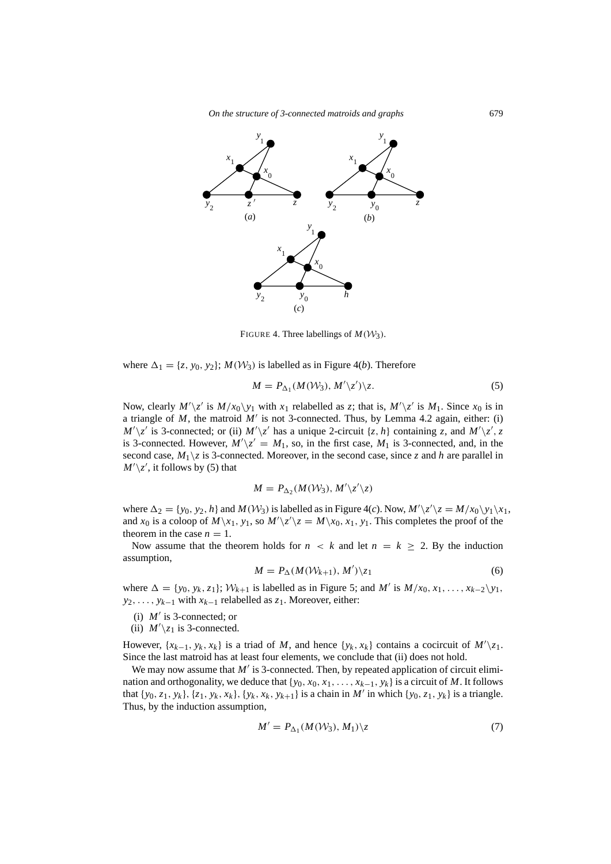*On the structure of 3-connected matroids and graphs* 679



<span id="page-12-0"></span>FIGURE 4. Three labellings of  $M(W_3)$ .

where  $\Delta_1 = \{z, y_0, y_2\}$ ;  $M(\mathcal{W}_3)$  is labelled as in Figure [4](#page-12-0)(*b*). Therefore

<span id="page-12-1"></span>
$$
M = P_{\Delta_1}(M(\mathcal{W}_3), M'\langle z'\rangle)\langle z. \tag{5}
$$

Now, clearly  $M'\setminus z'$  is  $M/x_0\setminus y_1$  with  $x_1$  relabelled as  $z$ ; that is,  $M'\setminus z'$  is  $M_1$ . Since  $x_0$  is in a triangle of  $M$ , the matroid  $M'$  is not 3-connected. Thus, by Lemma [4.2](#page-11-1) again, either: (i)  $M'\setminus z'$  is 3-connected; or (ii)  $M'\setminus z'$  has a unique 2-circuit  $\{z, h\}$  containing *z*, and  $M'\setminus z'$ , *z* is 3-connected. However,  $M'\langle z' = M_1$ , so, in the first case,  $M_1$  is 3-connected, and, in the second case,  $M_1 \gtrsim$  is 3-connected. Moreover, in the second case, since *z* and *h* are parallel in  $M'\setminus z'$ , it follows by ([5\)](#page-12-1) that

$$
M = P_{\Delta_2}(M(\mathcal{W}_3), M'\backslash z'\backslash z)
$$

where  $\Delta_2 = \{y_0, y_2, h\}$  and  $M(\mathcal{W}_3)$  is labelled as in Figure [4](#page-12-0)(*c*). Now,  $M'\setminus z'\setminus z = M/x_0\setminus y_1\setminus x_1$ , and  $x_0$  is a coloop of  $M\setminus x_1$ ,  $y_1$ , so  $M'\setminus z'\setminus z = M\setminus x_0$ ,  $x_1$ ,  $y_1$ . This completes the proof of the theorem in the case  $n = 1$ .

Now assume that the theorem holds for  $n \leq k$  and let  $n = k \geq 2$ . By the induction assumption,

<span id="page-12-2"></span>
$$
M = P_{\Delta}(M(\mathcal{W}_{k+1}), M') \backslash z_1 \tag{6}
$$

where  $\Delta = \{y_0, y_k, z_1\}; W_{k+1}$  is labelled as in Figure [5;](#page-13-0) and *M'* is  $M/x_0, x_1, \ldots, x_{k-2}\backslash y_1$ , *y*<sub>2</sub>, . . . , *y*<sub>*k*−1</sub> with *x*<sub>*k*−1</sub> relabelled as *z*<sub>1</sub>. Moreover, either:

- (i)  $M'$  is 3-connected; or
- (ii)  $M'\$ <sub>z<sub>1</sub> is 3-connected.</sub>

However,  $\{x_{k-1}, y_k, x_k\}$  is a triad of *M*, and hence  $\{y_k, x_k\}$  contains a cocircuit of  $M'\setminus z_1$ . Since the last matroid has at least four elements, we conclude that (ii) does not hold.

We may now assume that  $M'$  is 3-connected. Then, by repeated application of circuit elimination and orthogonality, we deduce that  $\{y_0, x_0, x_1, \ldots, x_{k-1}, y_k\}$  is a circuit of *M*. It follows that  $\{y_0, z_1, y_k\}$ ,  $\{z_1, y_k, x_k\}$ ,  $\{y_k, x_k, y_{k+1}\}$  is a chain in M' in which  $\{y_0, z_1, y_k\}$  is a triangle. Thus, by the induction assumption,

<span id="page-12-3"></span>
$$
M' = P_{\Delta_1}(M(\mathcal{W}_3), M_1) \backslash z \tag{7}
$$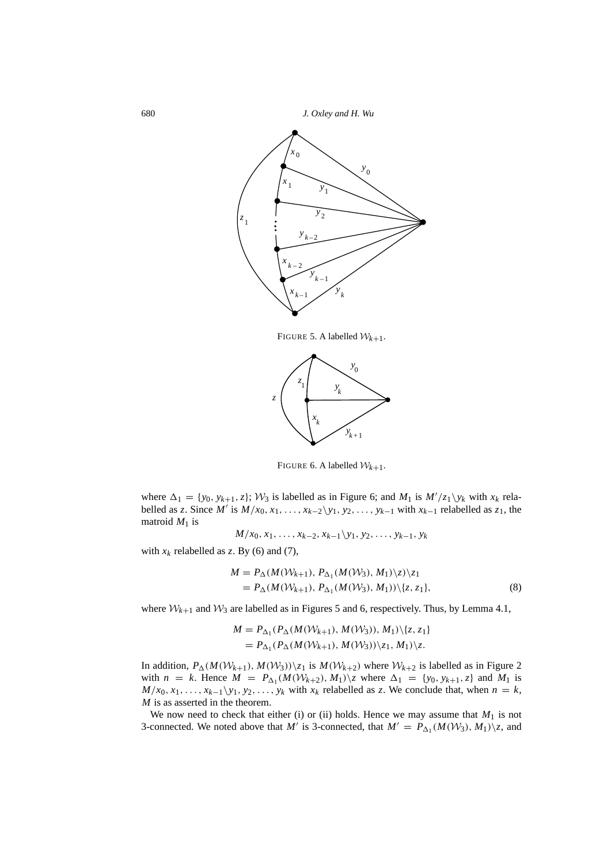

<span id="page-13-0"></span>FIGURE 5. A labelled  $W_{k+1}$ .



<span id="page-13-1"></span>FIGURE 6. A labelled  $W_{k+1}$ .

where  $\Delta_1 = \{y_0, y_{k+1}, z\}$ ;  $\mathcal{W}_3$  is labelled as in Figure [6](#page-13-1); and  $M_1$  is  $M'/z_1\backslash y_k$  with  $x_k$  relabelled as *z*. Since *M'* is  $M/x_0, x_1, \ldots, x_{k-2}\y_1, y_2, \ldots, y_{k-1}$  with  $x_{k-1}$  relabelled as *z*<sub>1</sub>, the matroid  $M_1$  is

$$
M/x_0, x_1, \ldots, x_{k-2}, x_{k-1} \backslash y_1, y_2, \ldots, y_{k-1}, y_k
$$

with  $x_k$  relabelled as *z*. By [\(6](#page-12-2)) and [\(7](#page-12-3)),

$$
M = P_{\Delta}(M(\mathcal{W}_{k+1}), P_{\Delta_1}(M(\mathcal{W}_3), M_1)\backslash z)\backslash z_1
$$
  
=  $P_{\Delta}(M(\mathcal{W}_{k+1}), P_{\Delta_1}(M(\mathcal{W}_3), M_1))\backslash\{z, z_1\},$  (8)

where  $W_{k+1}$  and  $W_3$  are labelled as in Figures [5](#page-13-0) and [6,](#page-13-1) respectively. Thus, by Lemma [4.1,](#page-10-5)

$$
M = P_{\Delta_1}(P_{\Delta}(M(W_{k+1}), M(W_3)), M_1)\setminus \{z, z_1\}
$$
  
=  $P_{\Delta_1}(P_{\Delta}(M(W_{k+1}), M(W_3))\setminus z_1, M_1)\setminus z$ .

In addition,  $P_{\Delta}(M(W_{k+1}), M(W_3))\backslash z_1$  is  $M(W_{k+2})$  $M(W_{k+2})$  $M(W_{k+2})$  where  $W_{k+2}$  is labelled as in Figure 2 with  $n = k$ . Hence  $M = P_{\Delta_1}(M(W_{k+2}), M_1) \setminus z$  where  $\Delta_1 = \{y_0, y_{k+1}, z\}$  and  $M_1$  is  $M/x_0, x_1, \ldots, x_{k-1}\y_1, y_2, \ldots, y_k$  with  $x_k$  relabelled as *z*. We conclude that, when  $n = k$ , *M* is as asserted in the theorem.

We now need to check that either (i) or (ii) holds. Hence we may assume that  $M_1$  is not 3-connected. We noted above that *M'* is 3-connected, that  $M' = P_{\Delta_1}(M(W_3), M_1)\setminus z$ , and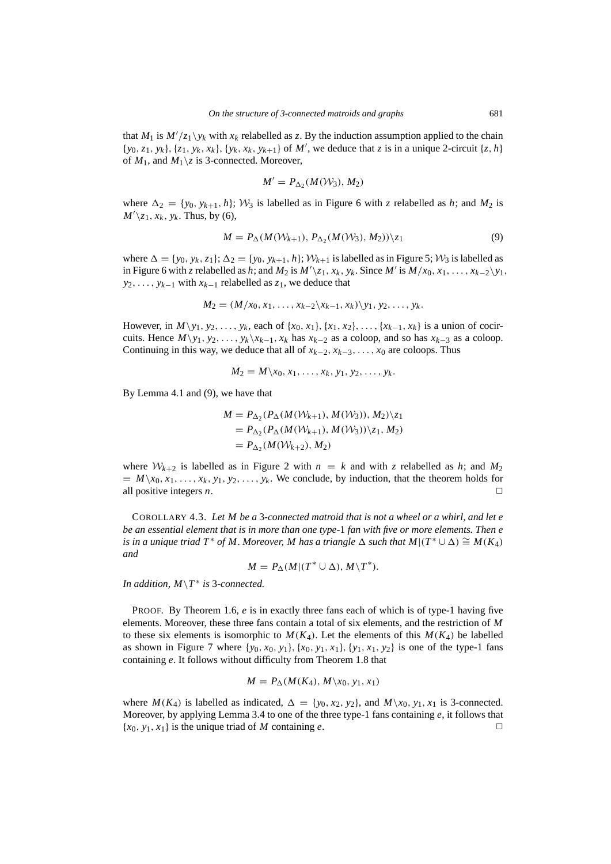that  $M_1$  is  $M'/z_1 \setminus y_k$  with  $x_k$  relabelled as z. By the induction assumption applied to the chain  $\{y_0, z_1, y_k\}, \{z_1, y_k, x_k\}, \{y_k, x_k, y_{k+1}\}$  of M', we deduce that z is in a unique 2-circuit  $\{z, h\}$ of  $M_1$ , and  $M_1 \setminus z$  is 3-connected. Moreover,

$$
M' = P_{\Delta_2}(M(\mathcal{W}_3), M_2)
$$

where  $\Delta_2 = \{y_0, y_{k+1}, h\}; W_3$  is labelled as in Figure [6](#page-13-1) with *z* relabelled as *h*; and  $M_2$  is  $M'\$ <sub>z</sub><sub>1</sub>, *x*<sub>*k*</sub>, *y*<sub>*k*</sub>. Thus, by ([6\)](#page-12-2),

<span id="page-14-0"></span>
$$
M = P_{\Delta}(M(\mathcal{W}_{k+1}), P_{\Delta_2}(M(\mathcal{W}_3), M_2)) \backslash z_1 \tag{9}
$$

where  $\Delta = \{y_0, y_k, z_1\}; \Delta_2 = \{y_0, y_{k+1}, h\}; \mathcal{W}_{k+1}$  is labelled as in Figure [5](#page-13-0);  $\mathcal{W}_3$  is labelled as in Figure [6](#page-13-1) with *z* relabelled as *h*; and  $M_2$  is  $M'\setminus z_1, x_k, y_k$ . Since  $M'$  is  $M/x_0, x_1, \ldots, x_{k-2}\setminus y_1$ , *y*<sub>2</sub>, . . . , *y*<sub>*k*−1</sub> with *x*<sub>*k*−1</sub> relabelled as *z*<sub>1</sub>, we deduce that

$$
M_2=(M/x_0,x_1,\ldots,x_{k-2}\backslash x_{k-1},x_k)\backslash y_1,y_2,\ldots,y_k.
$$

However, in  $M \setminus y_1, y_2, \ldots, y_k$ , each of  $\{x_0, x_1\}, \{x_1, x_2\}, \ldots, \{x_{k-1}, x_k\}$  is a union of cocircuits. Hence  $M\y_1, y_2, \ldots, y_k\x_{k-1}, x_k$  has  $x_{k-2}$  as a coloop, and so has  $x_{k-3}$  as a coloop. Continuing in this way, we deduce that all of  $x_{k-2}, x_{k-3}, \ldots, x_0$  are coloops. Thus

$$
M_2=M\setminus x_0,x_1,\ldots,x_k,y_1,y_2,\ldots,y_k.
$$

By Lemma [4.1](#page-10-5) and ([9\)](#page-14-0), we have that

$$
M = P_{\Delta_2}(P_{\Delta}(M(W_{k+1}), M(W_3)), M_2)\backslash z_1
$$
  
=  $P_{\Delta_2}(P_{\Delta}(M(W_{k+1}), M(W_3))\backslash z_1, M_2)$   
=  $P_{\Delta_2}(M(W_{k+2}), M_2)$ 

where  $W_{k+2}$  $W_{k+2}$  $W_{k+2}$  is labelled as in Figure 2 with  $n = k$  and with *z* relabelled as *h*; and  $M_2$  $M \setminus x_0, x_1, \ldots, x_k, y_1, y_2, \ldots, y_k$ . We conclude, by induction, that the theorem holds for all positive integers *n*.  $\Box$ 

COROLLARY 4.3. *Let M be a* 3*-connected matroid that is not a wheel or a whirl, and let e be an essential element that is in more than one type-*1 *fan with five or more elements. Then e is in a unique triad T*<sup>\*</sup> *of M. Moreover, M has a triangle*  $\Delta$  *such that*  $M|(T^* \cup \Delta) \cong M(K_4)$ *and*

$$
M = P_{\Delta}(M|(T^* \cup \Delta), M\backslash T^*).
$$

*In addition, M*\*T* ∗ *is* 3*-connected.*

PROOF. By Theorem [1.6,](#page-3-0) *e* is in exactly three fans each of which is of type-1 having five elements. Moreover, these three fans contain a total of six elements, and the restriction of *M* to these six elements is isomorphic to  $M(K_4)$ . Let the elements of this  $M(K_4)$  be labelled as shown in Figure [7](#page-15-0) where  $\{y_0, x_0, y_1\}$ ,  $\{x_0, y_1, x_1\}$ ,  $\{y_1, x_1, y_2\}$  is one of the type-1 fans containing *e*. It follows without difficulty from Theorem [1.8](#page-4-0) that

$$
M = P_{\Delta}(M(K_4), M \setminus x_0, y_1, x_1)
$$

where  $M(K_4)$  is labelled as indicated,  $\Delta = \{y_0, x_2, y_2\}$ , and  $M\setminus x_0, y_1, x_1$  is 3-connected. Moreover, by applying Lemma [3.4](#page-7-1) to one of the three type-1 fans containing *e*, it follows that  ${x_0, y_1, x_1}$  is the unique triad of *M* containing *e*.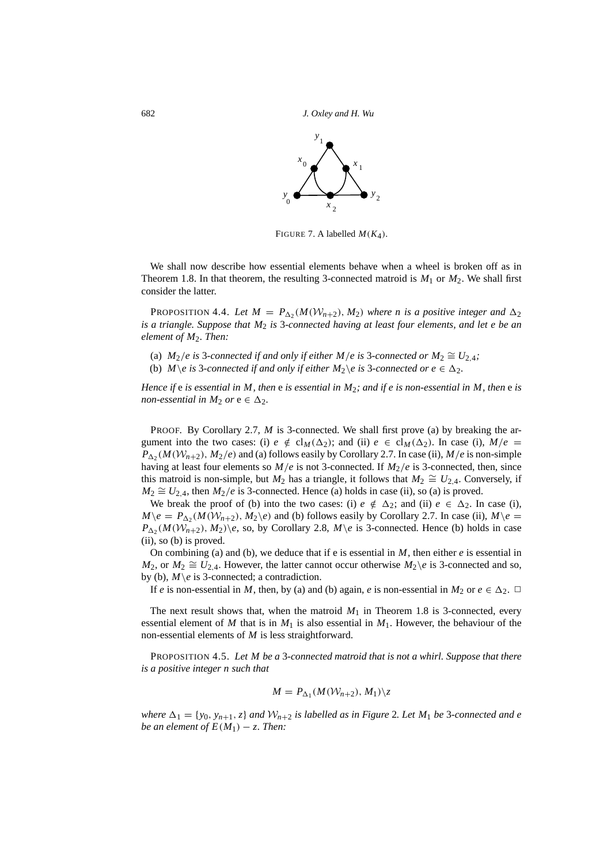

<span id="page-15-0"></span>FIGURE 7. A labelled  $M(K_4)$ .

We shall now describe how essential elements behave when a wheel is broken off as in Theorem [1.8](#page-4-0). In that theorem, the resulting 3-connected matroid is  $M_1$  or  $M_2$ . We shall first consider the latter.

<span id="page-15-2"></span>PROPOSITION 4.4. Let  $M = P_{\Delta_2}(M(W_{n+2}), M_2)$  where *n* is a positive integer and  $\Delta_2$ *is a triangle. Suppose that M*<sup>2</sup> *is* 3*-connected having at least four elements, and let e be an element of M<sub>2</sub></sub>. Then:* 

- (a)  $M_2/e$  is 3*-connected if and only if either*  $M/e$  *is 3<i>-connected or*  $M_2 \cong U_{2,4}$ ;
- (b)  $M \ge i$  *s* 3*-connected if and only if either*  $M_2 \ge i$  *s* 3*-connected or e*  $\in \Delta_2$ *.*

*Hence if* e *is essential in M, then* e *is essential in M*2*; and if e is non-essential in M, then* e *is non-essential in M<sub>2</sub> or*  $e \in \Delta_2$ *.* 

PROOF. By Corollary [2.7](#page-6-0), *M* is 3-connected. We shall first prove (a) by breaking the argument into the two cases: (i)  $e \notin cl_M(\Delta_2)$ ; and (ii)  $e \in cl_M(\Delta_2)$ . In case (i),  $M/e =$  $P_{\Delta_2}(M(\mathcal{W}_{n+2}), M_2/e)$  and (a) follows easily by Corollary [2.7](#page-6-0). In case (ii),  $M/e$  is non-simple having at least four elements so *M*/*e* is not 3-connected. If *M*2/*e* is 3-connected, then, since this matroid is non-simple, but  $M_2$  has a triangle, it follows that  $M_2 \cong U_{2,4}$ . Conversely, if *M*<sub>2</sub>  $\cong U_{2,4}$ , then *M*<sub>2</sub>/*e* is 3-connected. Hence (a) holds in case (ii), so (a) is proved.

We break the proof of (b) into the two cases: (i)  $e \notin \Delta_2$ ; and (ii)  $e \in \Delta_2$ . In case (i),  $M\backslash e = P_{\Delta_2}(M(W_{n+2}), M_2\backslash e)$  and (b) follows easily by Corollary [2.7.](#page-6-0) In case (ii),  $M\backslash e =$  $P_{\Delta_2}(M(\mathcal{W}_{n+2}), M_2)\$ e, so, by Corollary [2.8](#page-6-1),  $M\$ e is 3-connected. Hence (b) holds in case (ii), so (b) is proved.

On combining (a) and (b), we deduce that if e is essential in *M*, then either *e* is essential in *M*<sub>2</sub>, or  $M_2 \cong U_{2,4}$ . However, the latter cannot occur otherwise  $M_2\$ e is 3-connected and so, by (b),  $M \e$  is 3-connected; a contradiction.

If *e* is non-essential in *M*, then, by (a) and (b) again, *e* is non-essential in  $M_2$  or  $e \in \Delta_2$ .  $\Box$ 

The next result shows that, when the matroid  $M_1$  in Theorem [1.8](#page-4-0) is 3-connected, every essential element of *M* that is in  $M_1$  is also essential in  $M_1$ . However, the behaviour of the non-essential elements of *M* is less straightforward.

<span id="page-15-1"></span>PROPOSITION 4.5. *Let M be a* 3*-connected matroid that is not a whirl. Suppose that there is a positive integer n such that*

$$
M = P_{\Delta_1}(M(\mathcal{W}_{n+2}), M_1) \setminus z
$$

*where*  $\Delta_1 = \{y_0, y_{n+1}, z\}$  *and*  $W_{n+2}$  $W_{n+2}$  $W_{n+2}$  *is labelled as in Figure* 2*. Let*  $M_1$  *be* 3*-connected and e be an element of*  $E(M_1) - z$ . Then: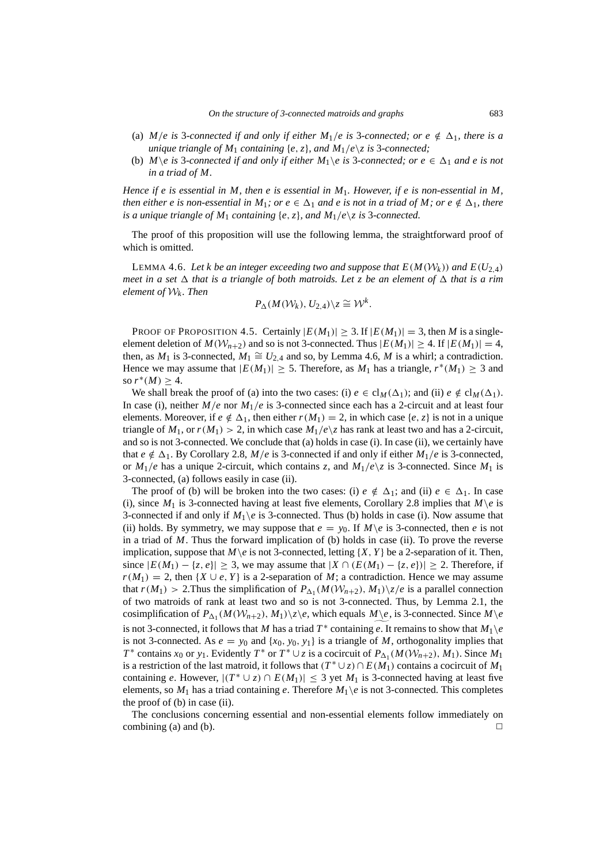- (a) *M*/*e* is 3-connected if and only if either *M*<sub>1</sub>/*e* is 3-connected; or  $e \notin \Delta_1$ *, there is a unique triangle of*  $M_1$  *containing* {*e, z*}*, and*  $M_1/e \ z$  *is* 3*-connected;*
- (b)  $M\$ e is 3-connected if and only if either  $M_1\$ e is 3-connected; or  $e \in \Delta_1$  and e is not *in a triad of M.*

*Hence if e is essential in M, then e is essential in M*1*. However, if e is non-essential in M, then either e is non-essential in*  $M_1$ *; or e*  $\in \Delta_1$  *and e is not in a triad of*  $M$ *; or e*  $\notin \Delta_1$ *, there is a unique triangle of*  $M_1$  *containing* {*e, z*}*, and*  $M_1/e \ z$  *is* 3*-connected.* 

The proof of this proposition will use the following lemma, the straightforward proof of which is omitted.

<span id="page-16-0"></span>LEMMA 4.6. Let k be an integer exceeding two and suppose that  $E(M(\mathcal{W}_k))$  and  $E(U_2, 4)$ *meet in a set*  $\Delta$  *that is a triangle of both matroids. Let* z *be an element of*  $\Delta$  *that is a rim element of*  $W_k$ *. Then* 

$$
P_{\Delta}(M(\mathcal{W}_k), U_{2,4})\backslash z \cong \mathcal{W}^k.
$$

PROOF OF PROPOSITION [4.5](#page-15-1). Certainly  $|E(M_1)| > 3$ . If  $|E(M_1)| = 3$ , then *M* is a singleelement deletion of  $M(\mathcal{W}_{n+2})$  and so is not 3-connected. Thus  $|E(M_1)| \geq 4$ . If  $|E(M_1)| = 4$ , then, as  $M_1$  is 3-connected,  $M_1 \cong U_{2,4}$  and so, by Lemma [4.6](#page-16-0), *M* is a whirl; a contradiction. Hence we may assume that  $|E(M_1)| \ge 5$ . Therefore, as  $M_1$  has a triangle,  $r^*(M_1) \ge 3$  and so  $r^*(M) \geq 4$ .

We shall break the proof of (a) into the two cases: (i)  $e \in cl_M(\Delta_1)$ ; and (ii)  $e \notin cl_M(\Delta_1)$ . In case (i), neither  $M/e$  nor  $M_1/e$  is 3-connected since each has a 2-circuit and at least four elements. Moreover, if  $e \notin \Delta_1$ , then either  $r(M_1) = 2$ , in which case  $\{e, z\}$  is not in a unique triangle of  $M_1$ , or  $r(M_1) > 2$ , in which case  $M_1/e \setminus z$  has rank at least two and has a 2-circuit, and so is not 3-connected. We conclude that (a) holds in case (i). In case (ii), we certainly have that  $e \notin \Delta_1$ . By Corollary [2.8,](#page-6-1)  $M/e$  is 3-connected if and only if either  $M_1/e$  is 3-connected, or  $M_1/e$  has a unique 2-circuit, which contains *z*, and  $M_1/e\$  is 3-connected. Since  $M_1$  is 3-connected, (a) follows easily in case (ii).

The proof of (b) will be broken into the two cases: (i)  $e \notin \Delta_1$ ; and (ii)  $e \in \Delta_1$ . In case (i), since  $M_1$  is 3-connected having at least five elements, Corollary [2.8](#page-6-1) implies that  $M\$ e is 3-connected if and only if  $M_1 \backslash e$  is 3-connected. Thus (b) holds in case (i). Now assume that (ii) holds. By symmetry, we may suppose that  $e = y_0$ . If  $M \ge e$  is 3-connected, then *e* is not in a triad of *M*. Thus the forward implication of (b) holds in case (ii). To prove the reverse implication, suppose that  $M\$ *e* is not 3-connected, letting  $\{X, Y\}$  be a 2-separation of it. Then, since  $|E(M_1) - \{z, e\}| \geq 3$ , we may assume that  $|X \cap (E(M_1) - \{z, e\})| \geq 2$ . Therefore, if  $r(M_1) = 2$ , then  $\{X \cup e, Y\}$  is a 2-separation of *M*; a contradiction. Hence we may assume that  $r(M_1) > 2$ . Thus the simplification of  $P_{\Delta_1}(M(\mathcal{W}_{n+2}), M_1) \setminus \mathbb{Z}/e$  is a parallel connection of two matroids of rank at least two and so is not 3-connected. Thus, by Lemma [2.1](#page-4-3), the cosimplification of  $P_{\Delta_1}(M(\mathcal{W}_{n+2}), M_1)\setminus\mathbb{Z}\setminus e$ , which equals  $M\setminus e$ , is 3-connected. Since  $M\setminus e$ is not 3-connected, it follows that *M* has a triad  $T^*$  containing *e*. It remains to show that  $M_1 \setminus e$ is not 3-connected. As  $e = y_0$  and  $\{x_0, y_0, y_1\}$  is a triangle of *M*, orthogonality implies that *T*<sup>\*</sup> contains *x*<sub>0</sub> or *y*<sub>1</sub>. Evidently *T*<sup>\*</sup> or *T*<sup>\*</sup> ∪*z* is a cocircuit of *P*<sub>△1</sub>( $M(W_{n+2})$ ,  $M_1$ ). Since  $M_1$ is a restriction of the last matroid, it follows that  $(T^* \cup z) \cap E(M_1)$  contains a cocircuit of  $M_1$ containing *e*. However,  $|(T^* \cup z) \cap E(M_1)| \leq 3$  yet  $M_1$  is 3-connected having at least five elements, so  $M_1$  has a triad containing *e*. Therefore  $M_1 \backslash e$  is not 3-connected. This completes the proof of (b) in case (ii).

The conclusions concerning essential and non-essential elements follow immediately on combining (a) and (b).  $\Box$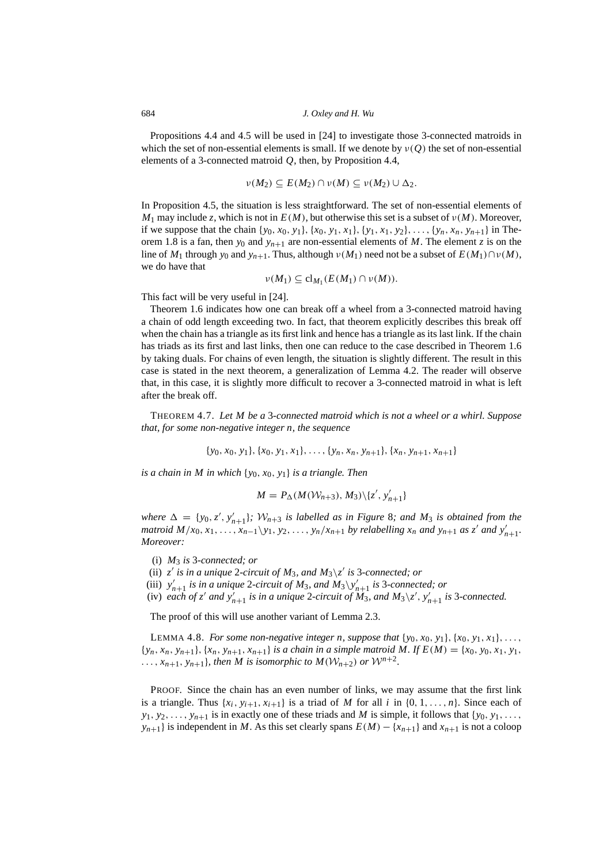Propositions [4.4](#page-15-2) and [4.5](#page-15-1) will be used in [\[24](#page-21-14)] to investigate those 3-connected matroids in which the set of non-essential elements is small. If we denote by  $\nu(Q)$  the set of non-essential elements of a 3-connected matroid *Q*, then, by Proposition [4.4,](#page-15-2)

$$
\nu(M_2) \subseteq E(M_2) \cap \nu(M) \subseteq \nu(M_2) \cup \Delta_2.
$$

In Proposition [4.5](#page-15-1), the situation is less straightforward. The set of non-essential elements of  $M_1$  may include *z*, which is not in  $E(M)$ , but otherwise this set is a subset of  $v(M)$ . Moreover, if we suppose that the chain  $\{y_0, x_0, y_1\}$ ,  $\{x_0, y_1, x_1\}$ ,  $\{y_1, x_1, y_2\}$ , ...,  $\{y_n, x_n, y_{n+1}\}$  in The-orem [1.8](#page-4-0) is a fan, then  $y_0$  and  $y_{n+1}$  are non-essential elements of M. The element *z* is on the line of  $M_1$  through  $y_0$  and  $y_{n+1}$ . Thus, although  $v(M_1)$  need not be a subset of  $E(M_1) \cap v(M)$ , we do have that

$$
\nu(M_1) \subseteq \mathrm{cl}_{M_1}(E(M_1) \cap \nu(M)).
$$

This fact will be very useful in [[24\]](#page-21-14).

Theorem [1.6](#page-3-0) indicates how one can break off a wheel from a 3-connected matroid having a chain of odd length exceeding two. In fact, that theorem explicitly describes this break off when the chain has a triangle as its first link and hence has a triangle as its last link. If the chain has triads as its first and last links, then one can reduce to the case described in Theorem [1.6](#page-3-0) by taking duals. For chains of even length, the situation is slightly different. The result in this case is stated in the next theorem, a generalization of Lemma [4.2.](#page-11-1) The reader will observe that, in this case, it is slightly more difficult to recover a 3-connected matroid in what is left after the break off.

<span id="page-17-0"></span>THEOREM 4.7. *Let M be a* 3*-connected matroid which is not a wheel or a whirl. Suppose that, for some non-negative integer n, the sequence*

{*y*0, *x*0, *y*1},{*x*0, *y*1, *x*1}, . . . ,{*yn*, *xn*, *yn*+1},{*xn*, *yn*+1, *xn*+1}

*is a chain in M in which* {*y*0, *x*0, *y*1} *is a triangle. Then*

$$
M = P_{\Delta}(M(\mathcal{W}_{n+3}), M_3) \setminus \{z', v'_{n+1}\}\
$$

where  $\Delta = \{y_0, z', y'_{n+1}\}\$ ;  $\mathcal{W}_{n+3}$  *is labelled as in Figure [8](#page-18-0); and M<sub>3</sub> <i>is obtained from the* matroid  $M/x_0, x_1, \ldots, x_{n-1} \backslash y_1, y_2, \ldots, y_n/x_{n+1}$  by relabelling  $x_n$  and  $y_{n+1}$  as  $z'$  and  $y'_{n+1}$ . *Moreover:*

- (i) *M*<sup>3</sup> *is* 3*-connected; or*
- (ii)  $z'$  is in a unique 2-circuit of  $M_3$ , and  $M_3\backslash z'$  is 3-connected; or
- (iii)  $y'_{n+1}$  *is in a unique* 2-circuit of  $M_3$ , and  $M_3 \setminus y'_{n+1}$  *is* 3-connected; or
- (iv) each of z' and  $y'_{n+1}$  is in a unique 2-circuit of  $M_3$ , and  $M_3\backslash z'$ ,  $y'_{n+1}$  is 3-connected.

The proof of this will use another variant of Lemma [2.3](#page-5-0).

LEMMA 4.8. *For some non-negative integer n, suppose that*  $\{y_0, x_0, y_1\}$ ,  $\{x_0, y_1, x_1\}$ , ...,  $\{y_n, x_n, y_{n+1}\}, \{x_n, y_{n+1}, x_{n+1}\}$  *is a chain in a simple matroid M. If*  $E(M) = \{x_0, y_0, x_1, y_1, x_0\}$  $\dots, x_{n+1}, y_{n+1}$ *, then M is isomorphic to*  $M(\mathcal{W}_{n+2})$  *or*  $\mathcal{W}^{n+2}$ *.* 

PROOF. Since the chain has an even number of links, we may assume that the first link is a triangle. Thus  $\{x_i, y_{i+1}, x_{i+1}\}$  is a triad of *M* for all *i* in  $\{0, 1, \ldots, n\}$ . Since each of  $y_1, y_2, \ldots, y_{n+1}$  is in exactly one of these triads and *M* is simple, it follows that {*y*<sub>0</sub>, *y*<sub>1</sub>, ..., *y*<sub>*n*+1</sub>} is independent in *M*. As this set clearly spans  $E(M) - \{x_{n+1}\}\$  and  $x_{n+1}$  is not a coloop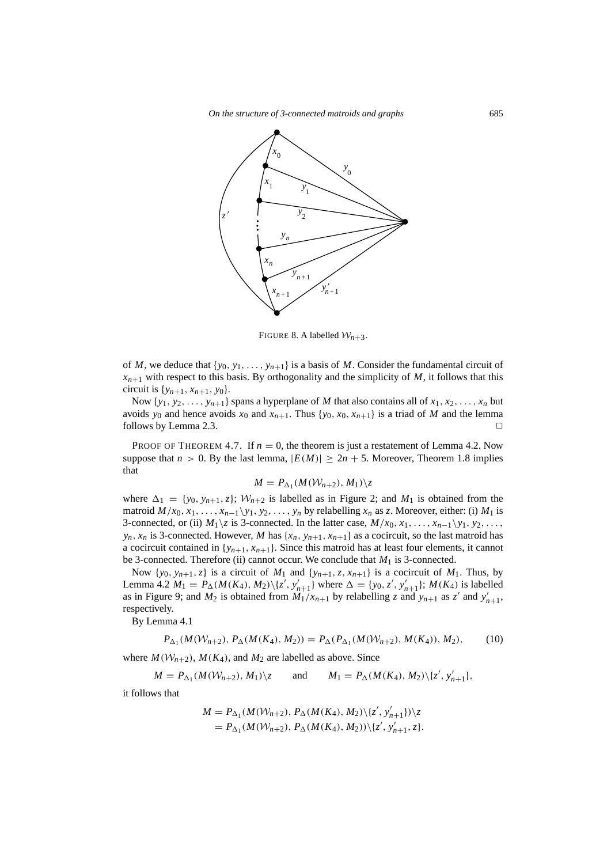*On the structure of 3-connected matroids and graphs* 685



<span id="page-18-0"></span>FIGURE 8. A labelled  $W_{n+3}$ .

of *M*, we deduce that  $\{y_0, y_1, \ldots, y_{n+1}\}$  is a basis of *M*. Consider the fundamental circuit of  $x_{n+1}$  with respect to this basis. By orthogonality and the simplicity of *M*, it follows that this circuit is  $\{y_{n+1}, x_{n+1}, y_0\}$ .

Now  $\{y_1, y_2, \ldots, y_{n+1}\}$  spans a hyperplane of *M* that also contains all of  $x_1, x_2, \ldots, x_n$  but avoids  $y_0$  and hence avoids  $x_0$  and  $x_{n+1}$ . Thus { $y_0, x_0, x_{n+1}$ } is a triad of *M* and the lemma follows by Lemma [2.3.](#page-5-0)  $\Box$ 

PROOF OF THEOREM [4.7](#page-17-0). If  $n = 0$ , the theorem is just a restatement of Lemma [4.2](#page-11-1). Now suppose that  $n > 0$ . By the last lemma,  $|E(M)| \ge 2n + 5$ . Moreover, Theorem [1.8](#page-4-0) implies that

$$
M = P_{\Delta_1}(M(\mathcal{W}_{n+2}), M_1) \backslash z
$$

where  $\Delta_1 = \{y_0, y_{n+1}, z\}$ ;  $W_{n+2}$  is labelled as in Figure [2;](#page-4-2) and  $M_1$  is obtained from the matroid  $M/x_0, x_1, \ldots, x_{n-1}\y_1, y_2, \ldots, y_n$  by relabelling  $x_n$  as *z*. Moreover, either: (i)  $M_1$  is 3-connected, or (ii)  $M_1\{z\}$  is 3-connected. In the latter case,  $M/x_0, x_1, \ldots, x_{n-1}\{y_1, y_2, \ldots\}$  $y_n$ ,  $x_n$  is 3-connected. However, *M* has { $x_n$ ,  $y_{n+1}$ ,  $x_{n+1}$ } as a cocircuit, so the last matroid has a cocircuit contained in  $\{y_{n+1}, x_{n+1}\}\)$ . Since this matroid has at least four elements, it cannot be 3-connected. Therefore (ii) cannot occur. We conclude that  $M_1$  is 3-connected.

Now  $\{y_0, y_{n+1}, z\}$  is a circuit of  $M_1$  and  $\{y_{n+1}, z, x_{n+1}\}$  is a cocircuit of  $M_1$ . Thus, by Lemma [4.2](#page-11-1)  $M_1 = P_{\Delta}(M(K_4), M_2)\setminus\{z', y'_{n+1}\}\$  where  $\Delta = \{y_0, z', y'_{n+1}\}\$ ;  $M(K_4)$  is labelled as in Figure [9;](#page-19-0) and  $M_2$  is obtained from  $M_1/x_{n+1}$  by relabelling *z* and  $y_{n+1}$  as *z'* and  $y'_{n+1}$ , respectively.

By Lemma [4.1](#page-10-5)

<span id="page-18-1"></span>
$$
P_{\Delta_1}(M(\mathcal{W}_{n+2}), P_{\Delta}(M(K_4), M_2)) = P_{\Delta}(P_{\Delta_1}(M(\mathcal{W}_{n+2}), M(K_4)), M_2),
$$
 (10)

where  $M(\mathcal{W}_{n+2})$ ,  $M(K_4)$ , and  $M_2$  are labelled as above. Since

$$
M = P_{\Delta_1}(M(W_{n+2}), M_1) \setminus z
$$
 and  $M_1 = P_{\Delta}(M(K_4), M_2) \setminus \{z', v'_{n+1}\},$ 

it follows that

$$
M = P_{\Delta_1}(M(\mathcal{W}_{n+2}), P_{\Delta}(M(K_4), M_2) \setminus \{z', y'_{n+1}\}) \setminus z
$$
  
=  $P_{\Delta_1}(M(\mathcal{W}_{n+2}), P_{\Delta}(M(K_4), M_2)) \setminus \{z', y'_{n+1}, z\}.$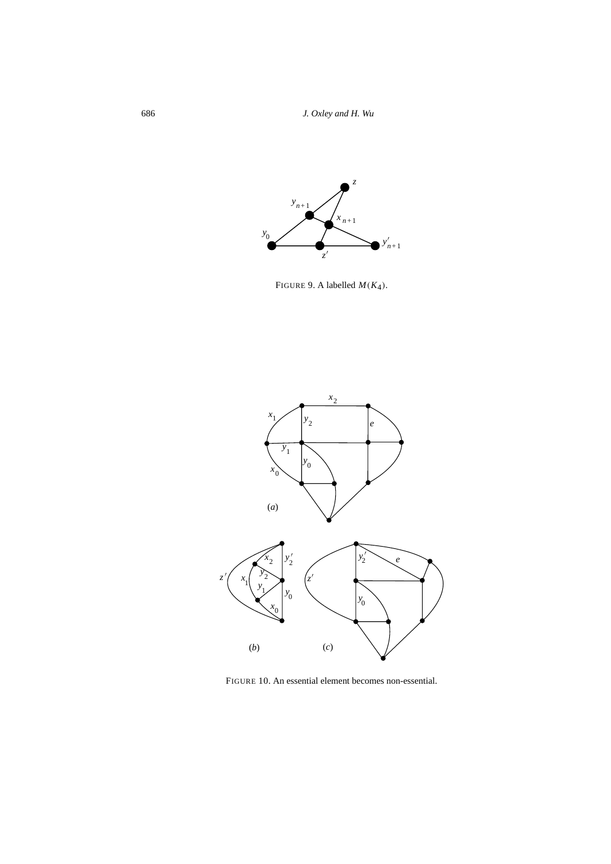686 *J. Oxley and H. Wu*



<span id="page-19-0"></span>FIGURE 9. A labelled  $M(K_4)$ .



<span id="page-19-1"></span>FIGURE 10. An essential element becomes non-essential.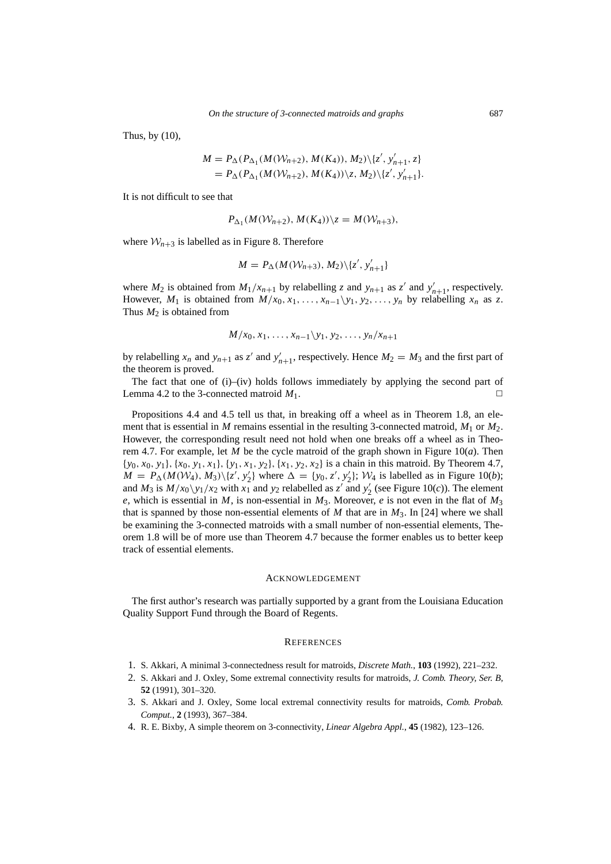Thus, by [\(10](#page-18-1)),

$$
M = P_{\Delta}(P_{\Delta_1}(M(W_{n+2}), M(K_4)), M_2) \setminus \{z', y'_{n+1}, z\}
$$
  
=  $P_{\Delta}(P_{\Delta_1}(M(W_{n+2}), M(K_4)) \setminus z, M_2) \setminus \{z', y'_{n+1}\}.$ 

It is not difficult to see that

$$
P_{\Delta_1}(M(\mathcal{W}_{n+2}), M(K_4))\backslash z = M(\mathcal{W}_{n+3}),
$$

where  $W_{n+3}$  is labelled as in Figure [8.](#page-18-0) Therefore

$$
M = P_{\Delta}(M(\mathcal{W}_{n+3}), M_2) \setminus \{z', y'_{n+1}\}
$$

where  $M_2$  is obtained from  $M_1/x_{n+1}$  by relabelling *z* and  $y_{n+1}$  as *z'* and  $y'_{n+1}$ , respectively. However,  $M_1$  is obtained from  $M/x_0, x_1, \ldots, x_{n-1}\backslash y_1, y_2, \ldots, y_n$  by relabelling  $x_n$  as *z*. Thus  $M_2$  is obtained from

$$
M/x_0, x_1, \ldots, x_{n-1} \backslash y_1, y_2, \ldots, y_n/x_{n+1}
$$

by relabelling  $x_n$  and  $y_{n+1}$  as  $z'$  and  $y'_{n+1}$ , respectively. Hence  $M_2 = M_3$  and the first part of the theorem is proved.

The fact that one of (i)–(iv) holds follows immediately by applying the second part of Lemma [4.2](#page-11-1) to the 3-connected matroid  $M_1$ .

Propositions [4.4](#page-15-2) and [4.5](#page-15-1) tell us that, in breaking off a wheel as in Theorem [1.8](#page-4-0), an element that is essential in *M* remains essential in the resulting 3-connected matroid,  $M_1$  or  $M_2$ . However, the corresponding result need not hold when one breaks off a wheel as in Theo-rem [4.7.](#page-17-0) For example, let *M* be the cycle matroid of the graph shown in Figure [10\(](#page-19-1)*a*). Then {*y*0, *x*0, *y*1},{*x*0, *y*1, *x*1},{*y*1, *x*1, *y*2},{*x*1, *y*2, *x*2} is a chain in this matroid. By Theorem [4.7,](#page-17-0)  $M = P_{\Delta}(M(W_4), M_3)\backslash\{z', y_2'\}$ where  $\Delta = \{y_0, z', y_2' \}$  $\mathcal{W}_2$  };  $\mathcal{W}_4$  is labelled as in Figure [10](#page-19-1)(*b*); and  $M_3$  is  $M/x_0\sqrt{y_1/x_2}$  with  $x_1$  and  $y_2$  relabelled as  $z'$  and  $y'_2$  $\frac{1}{2}$  (see Figure [10\(](#page-19-1)*c*)). The element *e*, which is essential in *M*, is non-essential in  $M_3$ . Moreover, *e* is not even in the flat of  $M_3$ that is spanned by those non-essential elements of *M* that are in  $M_3$ . In [[24\]](#page-21-14) where we shall be examining the 3-connected matroids with a small number of non-essential elements, Theorem [1.8](#page-4-0) will be of more use than Theorem [4.7](#page-17-0) because the former enables us to better keep track of essential elements.

# ACKNOWLEDGEMENT

The first author's research was partially supported by a grant from the Louisiana Education Quality Support Fund through the Board of Regents.

### **REFERENCES**

- <span id="page-20-0"></span>1. S. Akkari, A minimal 3-connectedness result for matroids, *Discrete Math.*, **103** (1992), 221–232.
- 2. S. Akkari and J. Oxley, Some extremal connectivity results for matroids, *J. Comb. Theory, Ser. B*, **52** (1991), 301–320.
- <span id="page-20-2"></span>3. S. Akkari and J. Oxley, Some local extremal connectivity results for matroids, *Comb. Probab. Comput.*, **2** (1993), 367–384.
- <span id="page-20-1"></span>4. R. E. Bixby, A simple theorem on 3-connectivity, *Linear Algebra Appl.*, **45** (1982), 123–126.